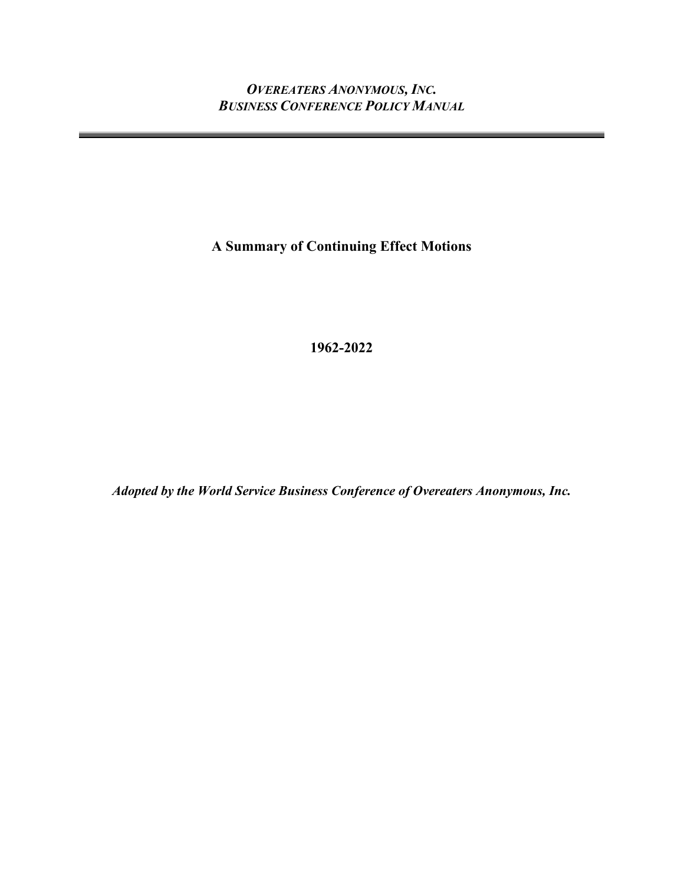**A Summary of Continuing Effect Motions**

**1962-2022**

*Adopted by the World Service Business Conference of Overeaters Anonymous, Inc.*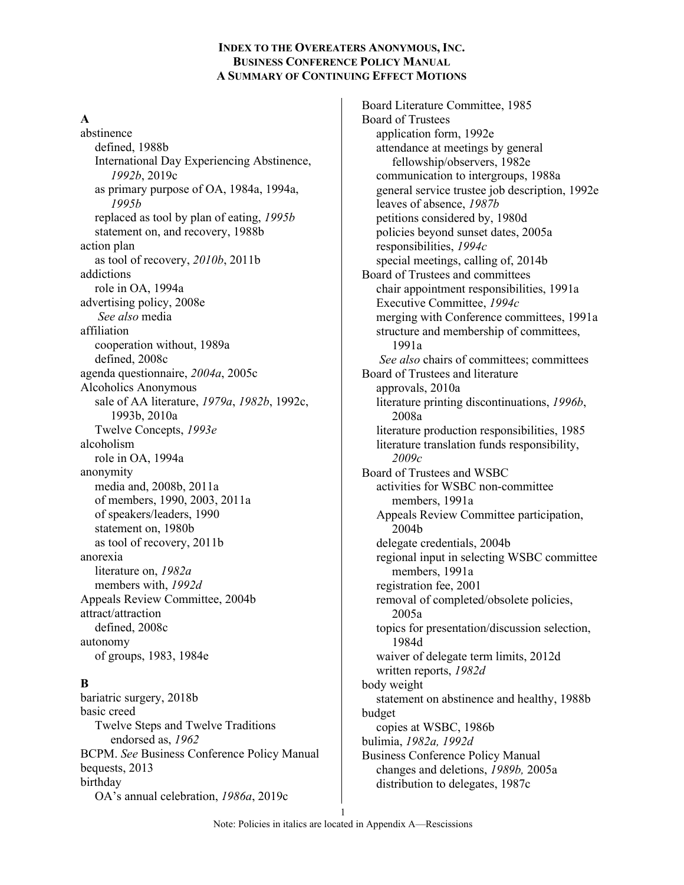#### **A**

abstinence defined, 1988b International Day Experiencing Abstinence, *1992b*, 2019c as primary purpose of OA, 1984a, 1994a, *1995b* replaced as tool by plan of eating, *1995b* statement on, and recovery, 1988b action plan as tool of recovery, *2010b*, 2011b addictions role in OA, 1994a advertising policy, 2008e *See also* media affiliation cooperation without, 1989a defined, 2008c agenda questionnaire, *2004a*, 2005c Alcoholics Anonymous sale of AA literature, *1979a*, *1982b*, 1992c, 1993b, 2010a Twelve Concepts, *1993e* alcoholism role in OA, 1994a anonymity media and, 2008b, 2011a of members, 1990, 2003, 2011a of speakers/leaders, 1990 statement on, 1980b as tool of recovery, 2011b anorexia literature on, *1982a* members with, *1992d* Appeals Review Committee, 2004b attract/attraction defined, 2008c autonomy of groups, 1983, 1984e

# **B**

bariatric surgery, 2018b basic creed Twelve Steps and Twelve Traditions endorsed as, *1962* BCPM. *See* Business Conference Policy Manual bequests, 2013 birthday OA's annual celebration, *1986a*, 2019c

Board Literature Committee, 1985 Board of Trustees application form, 1992e attendance at meetings by general fellowship/observers, 1982e communication to intergroups, 1988a general service trustee job description, 1992e leaves of absence, *1987b* petitions considered by, 1980d policies beyond sunset dates, 2005a responsibilities, *1994c* special meetings, calling of, 2014b Board of Trustees and committees chair appointment responsibilities, 1991a Executive Committee, *1994c* merging with Conference committees, 1991a structure and membership of committees, 1991a *See also* chairs of committees; committees Board of Trustees and literature approvals, 2010a literature printing discontinuations, *1996b*, 2008a literature production responsibilities, 1985 literature translation funds responsibility, *2009c* Board of Trustees and WSBC activities for WSBC non-committee members, 1991a Appeals Review Committee participation, 2004b delegate credentials, 2004b regional input in selecting WSBC committee members, 1991a registration fee, 2001 removal of completed/obsolete policies, 2005a topics for presentation/discussion selection, 1984d waiver of delegate term limits, 2012d written reports, *1982d* body weight statement on abstinence and healthy, 1988b budget copies at WSBC, 1986b bulimia, *1982a, 1992d* Business Conference Policy Manual changes and deletions, *1989b,* 2005a distribution to delegates, 1987c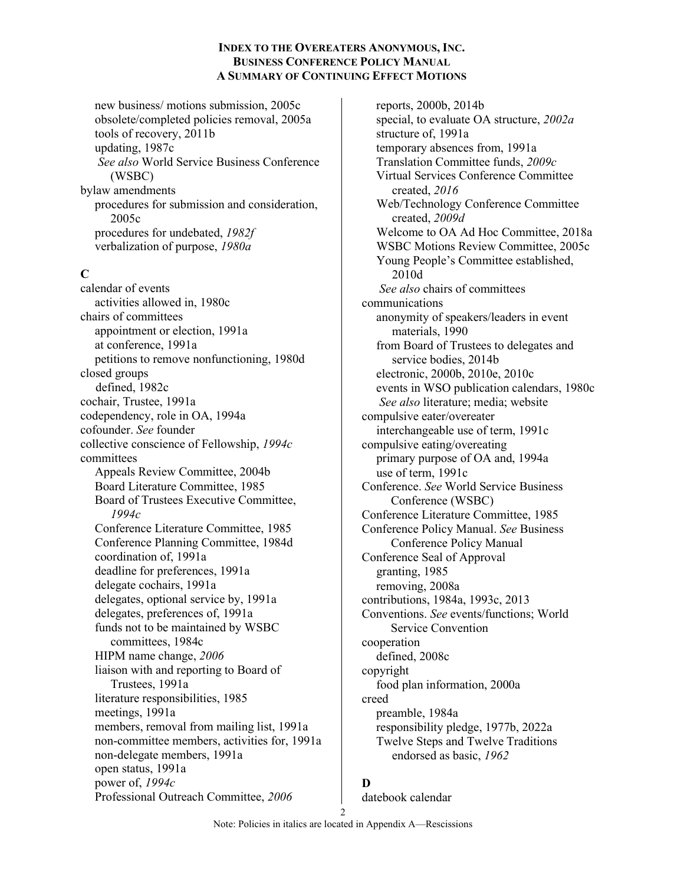new business/ motions submission, 2005c obsolete/completed policies removal, 2005a tools of recovery, 2011b updating, 1987c *See also* World Service Business Conference (WSBC) bylaw amendments procedures for submission and consideration, 2005c procedures for undebated, *1982f* verbalization of purpose, *1980a*

### **C**

calendar of events activities allowed in, 1980c chairs of committees appointment or election, 1991a at conference, 1991a petitions to remove nonfunctioning, 1980d closed groups defined, 1982c cochair, Trustee, 1991a codependency, role in OA, 1994a cofounder. *See* founder collective conscience of Fellowship, *1994c* committees Appeals Review Committee, 2004b Board Literature Committee, 1985 Board of Trustees Executive Committee, *1994c* Conference Literature Committee, 1985 Conference Planning Committee, 1984d coordination of, 1991a deadline for preferences, 1991a delegate cochairs, 1991a delegates, optional service by, 1991a delegates, preferences of, 1991a funds not to be maintained by WSBC committees, 1984c HIPM name change, *2006* liaison with and reporting to Board of Trustees, 1991a literature responsibilities, 1985 meetings, 1991a members, removal from mailing list, 1991a non-committee members, activities for, 1991a non-delegate members, 1991a open status, 1991a power of, *1994c* Professional Outreach Committee, *2006*

reports, 2000b, 2014b special, to evaluate OA structure, *2002a* structure of, 1991a temporary absences from, 1991a Translation Committee funds, *2009c* Virtual Services Conference Committee created, *2016* Web/Technology Conference Committee created, *2009d* Welcome to OA Ad Hoc Committee, 2018a WSBC Motions Review Committee, 2005c Young People's Committee established, 2010d *See also* chairs of committees communications anonymity of speakers/leaders in event materials, 1990 from Board of Trustees to delegates and service bodies, 2014b electronic, 2000b, 2010e, 2010c events in WSO publication calendars, 1980c *See also* literature; media; website compulsive eater/overeater interchangeable use of term, 1991c compulsive eating/overeating primary purpose of OA and, 1994a use of term, 1991c Conference. *See* World Service Business Conference (WSBC) Conference Literature Committee, 1985 Conference Policy Manual. *See* Business Conference Policy Manual Conference Seal of Approval granting, 1985 removing, 2008a contributions, 1984a, 1993c, 2013 Conventions. *See* events/functions; World Service Convention cooperation defined, 2008c copyright food plan information, 2000a creed preamble, 1984a responsibility pledge, 1977b, 2022a Twelve Steps and Twelve Traditions endorsed as basic, *1962*

### **D**

datebook calendar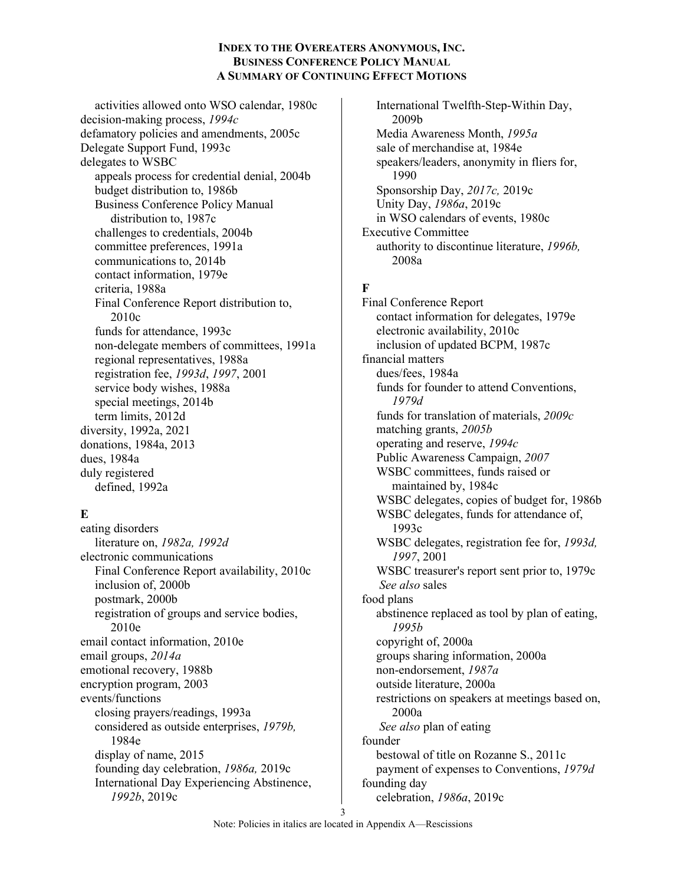activities allowed onto WSO calendar, 1980c decision-making process, *1994c* defamatory policies and amendments, 2005c Delegate Support Fund, 1993c delegates to WSBC appeals process for credential denial, 2004b budget distribution to, 1986b Business Conference Policy Manual distribution to, 1987c challenges to credentials, 2004b committee preferences, 1991a communications to, 2014b contact information, 1979e criteria, 1988a Final Conference Report distribution to, 2010c funds for attendance, 1993c non-delegate members of committees, 1991a regional representatives, 1988a registration fee, *1993d*, *1997*, 2001 service body wishes, 1988a special meetings, 2014b term limits, 2012d diversity, 1992a, 2021 donations, 1984a, 2013 dues, 1984a duly registered defined, 1992a

### **E**

eating disorders literature on, *1982a, 1992d* electronic communications Final Conference Report availability, 2010c inclusion of, 2000b postmark, 2000b registration of groups and service bodies, 2010e email contact information, 2010e email groups, *2014a* emotional recovery, 1988b encryption program, 2003 events/functions closing prayers/readings, 1993a considered as outside enterprises, *1979b,* 1984e display of name, 2015 founding day celebration, *1986a,* 2019c International Day Experiencing Abstinence, *1992b*, 2019c

International Twelfth-Step-Within Day, 2009b Media Awareness Month, *1995a* sale of merchandise at, 1984e speakers/leaders, anonymity in fliers for, 1990 Sponsorship Day, *2017c,* 2019c Unity Day, *1986a*, 2019c in WSO calendars of events, 1980c Executive Committee authority to discontinue literature, *1996b,* 2008a

## **F**

Final Conference Report contact information for delegates, 1979e electronic availability, 2010c inclusion of updated BCPM, 1987c financial matters dues/fees, 1984a funds for founder to attend Conventions, *1979d* funds for translation of materials, *2009c* matching grants, *2005b* operating and reserve, *1994c* Public Awareness Campaign, *2007* WSBC committees, funds raised or maintained by, 1984c WSBC delegates, copies of budget for, 1986b WSBC delegates, funds for attendance of, 1993c WSBC delegates, registration fee for, *1993d, 1997*, 2001 WSBC treasurer's report sent prior to, 1979c *See also* sales food plans abstinence replaced as tool by plan of eating, *1995b* copyright of, 2000a groups sharing information, 2000a non-endorsement, *1987a* outside literature, 2000a restrictions on speakers at meetings based on, 2000a *See also* plan of eating founder bestowal of title on Rozanne S., 2011c payment of expenses to Conventions, *1979d* founding day celebration, *1986a*, 2019c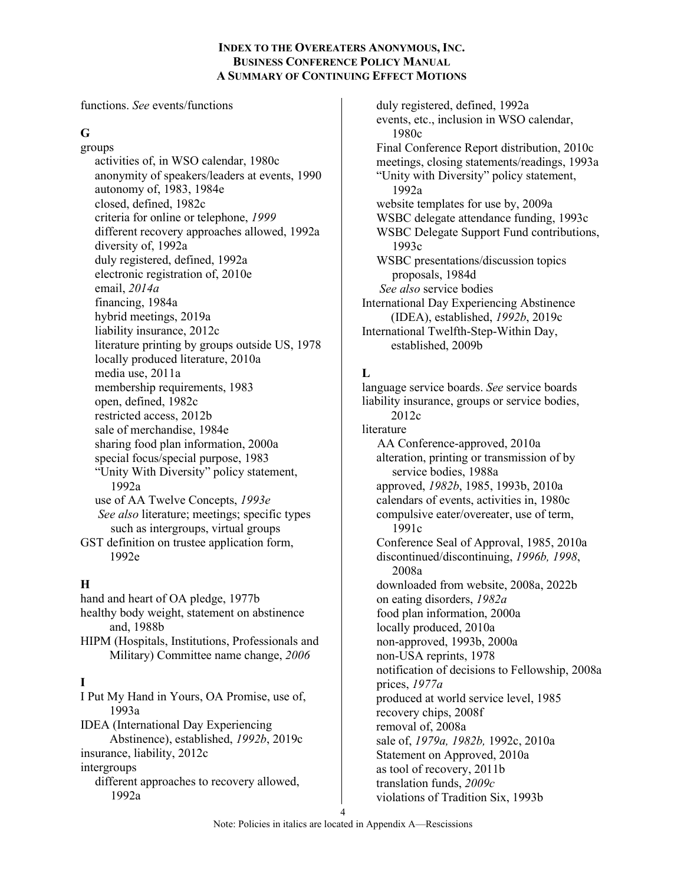functions. *See* events/functions

## **G**

groups activities of, in WSO calendar, 1980c anonymity of speakers/leaders at events, 1990 autonomy of, 1983, 1984e closed, defined, 1982c criteria for online or telephone, *1999* different recovery approaches allowed, 1992a diversity of, 1992a duly registered, defined, 1992a electronic registration of, 2010e email, *2014a* financing, 1984a hybrid meetings, 2019a liability insurance, 2012c literature printing by groups outside US, 1978 locally produced literature, 2010a media use, 2011a membership requirements, 1983 open, defined, 1982c restricted access, 2012b sale of merchandise, 1984e sharing food plan information, 2000a special focus/special purpose, 1983 "Unity With Diversity" policy statement, 1992a use of AA Twelve Concepts, *1993e See also* literature; meetings; specific types such as intergroups, virtual groups GST definition on trustee application form, 1992e

# **H**

hand and heart of OA pledge, 1977b healthy body weight, statement on abstinence and, 1988b HIPM (Hospitals, Institutions, Professionals and Military) Committee name change, *2006* **I** I Put My Hand in Yours, OA Promise, use of, 1993a IDEA (International Day Experiencing Abstinence), established, *1992b*, 2019c insurance, liability, 2012c intergroups different approaches to recovery allowed, 1992a

duly registered, defined, 1992a events, etc., inclusion in WSO calendar, 1980c Final Conference Report distribution, 2010c meetings, closing statements/readings, 1993a "Unity with Diversity" policy statement, 1992a website templates for use by, 2009a WSBC delegate attendance funding, 1993c WSBC Delegate Support Fund contributions, 1993c WSBC presentations/discussion topics proposals, 1984d *See also* service bodies International Day Experiencing Abstinence (IDEA), established, *1992b*, 2019c International Twelfth-Step-Within Day, established, 2009b

# **L**

language service boards. *See* service boards liability insurance, groups or service bodies, 2012c literature AA Conference-approved, 2010a alteration, printing or transmission of by service bodies, 1988a approved, *1982b*, 1985, 1993b, 2010a calendars of events, activities in, 1980c compulsive eater/overeater, use of term, 1991c Conference Seal of Approval, 1985, 2010a discontinued/discontinuing, *1996b, 1998*, 2008a downloaded from website, 2008a, 2022b on eating disorders, *1982a* food plan information, 2000a locally produced, 2010a non-approved, 1993b, 2000a non-USA reprints, 1978 notification of decisions to Fellowship, 2008a prices, *1977a* produced at world service level, 1985 recovery chips, 2008f removal of, 2008a sale of, *1979a, 1982b,* 1992c, 2010a Statement on Approved, 2010a as tool of recovery, 2011b translation funds, *2009c* violations of Tradition Six, 1993b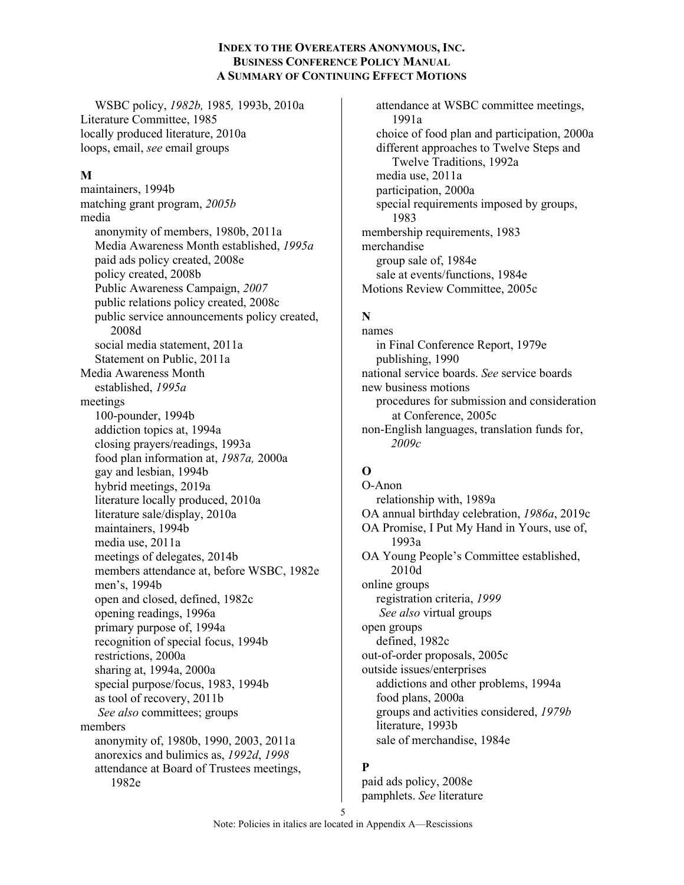WSBC policy, *1982b,* 1985*,* 1993b, 2010a Literature Committee, 1985 locally produced literature, 2010a loops, email, *see* email groups

## **M**

maintainers, 1994b matching grant program, *2005b* media anonymity of members, 1980b, 2011a Media Awareness Month established, *1995a* paid ads policy created, 2008e policy created, 2008b Public Awareness Campaign, *2007* public relations policy created, 2008c public service announcements policy created, 2008d social media statement, 2011a Statement on Public, 2011a Media Awareness Month established, *1995a* meetings 100-pounder, 1994b addiction topics at, 1994a closing prayers/readings, 1993a food plan information at, *1987a,* 2000a gay and lesbian, 1994b hybrid meetings, 2019a literature locally produced, 2010a literature sale/display, 2010a maintainers, 1994b media use, 2011a meetings of delegates, 2014b members attendance at, before WSBC, 1982e men's, 1994b open and closed, defined, 1982c opening readings, 1996a primary purpose of, 1994a recognition of special focus, 1994b restrictions, 2000a sharing at, 1994a, 2000a special purpose/focus, 1983, 1994b as tool of recovery, 2011b *See also* committees; groups members anonymity of, 1980b, 1990, 2003, 2011a anorexics and bulimics as, *1992d*, *1998* attendance at Board of Trustees meetings, 1982e

attendance at WSBC committee meetings, 1991a choice of food plan and participation, 2000a different approaches to Twelve Steps and Twelve Traditions, 1992a media use, 2011a participation, 2000a special requirements imposed by groups, 1983 membership requirements, 1983 merchandise group sale of, 1984e sale at events/functions, 1984e Motions Review Committee, 2005c

# **N**

names in Final Conference Report, 1979e publishing, 1990 national service boards. *See* service boards new business motions procedures for submission and consideration at Conference, 2005c non-English languages, translation funds for, *2009c*

# **O**

O-Anon relationship with, 1989a OA annual birthday celebration, *1986a*, 2019c OA Promise, I Put My Hand in Yours, use of, 1993a OA Young People's Committee established, 2010d online groups registration criteria, *1999 See also* virtual groups open groups defined, 1982c out-of-order proposals, 2005c outside issues/enterprises addictions and other problems, 1994a food plans, 2000a groups and activities considered, *1979b* literature, 1993b sale of merchandise, 1984e

# **P**

paid ads policy, 2008e pamphlets. *See* literature

5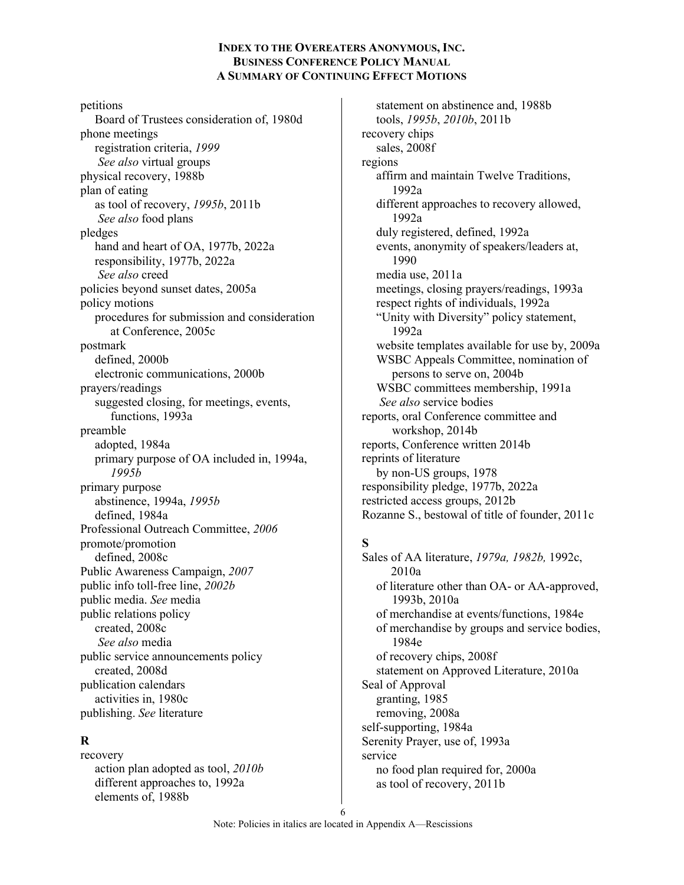petitions Board of Trustees consideration of, 1980d phone meetings registration criteria, *1999 See also* virtual groups physical recovery, 1988b plan of eating as tool of recovery, *1995b*, 2011b *See also* food plans pledges hand and heart of OA, 1977b, 2022a responsibility, 1977b, 2022a *See also* creed policies beyond sunset dates, 2005a policy motions procedures for submission and consideration at Conference, 2005c postmark defined, 2000b electronic communications, 2000b prayers/readings suggested closing, for meetings, events, functions, 1993a preamble adopted, 1984a primary purpose of OA included in, 1994a, *1995b* primary purpose abstinence, 1994a, *1995b* defined, 1984a Professional Outreach Committee, *2006* promote/promotion defined, 2008c Public Awareness Campaign, *2007* public info toll-free line, *2002b* public media. *See* media public relations policy created, 2008c *See also* media public service announcements policy created, 2008d publication calendars activities in, 1980c publishing. *See* literature

## **R**

recovery action plan adopted as tool, *2010b* different approaches to, 1992a elements of, 1988b

statement on abstinence and, 1988b tools, *1995b*, *2010b*, 2011b recovery chips sales, 2008f regions affirm and maintain Twelve Traditions, 1992a different approaches to recovery allowed, 1992a duly registered, defined, 1992a events, anonymity of speakers/leaders at, 1990 media use, 2011a meetings, closing prayers/readings, 1993a respect rights of individuals, 1992a "Unity with Diversity" policy statement, 1992a website templates available for use by, 2009a WSBC Appeals Committee, nomination of persons to serve on, 2004b WSBC committees membership, 1991a *See also* service bodies reports, oral Conference committee and workshop, 2014b reports, Conference written 2014b reprints of literature by non-US groups, 1978 responsibility pledge, 1977b, 2022a restricted access groups, 2012b Rozanne S., bestowal of title of founder, 2011c

## **S**

Sales of AA literature, *1979a, 1982b,* 1992c, 2010a of literature other than OA- or AA-approved, 1993b, 2010a of merchandise at events/functions, 1984e of merchandise by groups and service bodies, 1984e of recovery chips, 2008f statement on Approved Literature, 2010a Seal of Approval granting, 1985 removing, 2008a self-supporting, 1984a Serenity Prayer, use of, 1993a service no food plan required for, 2000a as tool of recovery, 2011b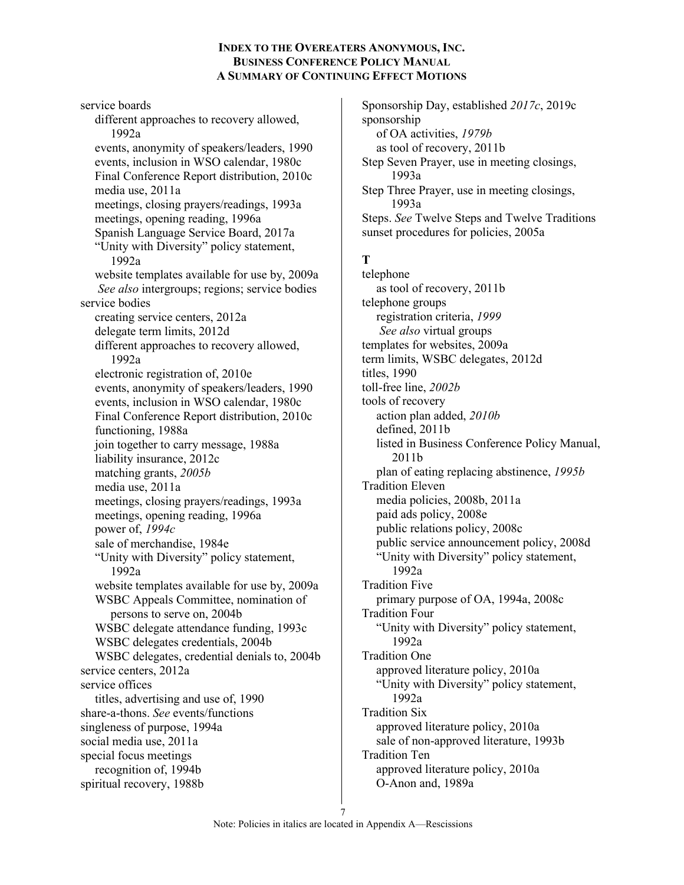service boards different approaches to recovery allowed, 1992a events, anonymity of speakers/leaders, 1990 events, inclusion in WSO calendar, 1980c Final Conference Report distribution, 2010c media use, 2011a meetings, closing prayers/readings, 1993a meetings, opening reading, 1996a Spanish Language Service Board, 2017a "Unity with Diversity" policy statement, 1992a website templates available for use by, 2009a *See also* intergroups; regions; service bodies service bodies creating service centers, 2012a delegate term limits, 2012d different approaches to recovery allowed, 1992a electronic registration of, 2010e events, anonymity of speakers/leaders, 1990 events, inclusion in WSO calendar, 1980c Final Conference Report distribution, 2010c functioning, 1988a join together to carry message, 1988a liability insurance, 2012c matching grants, *2005b* media use, 2011a meetings, closing prayers/readings, 1993a meetings, opening reading, 1996a power of, *1994c* sale of merchandise, 1984e "Unity with Diversity" policy statement, 1992a website templates available for use by, 2009a WSBC Appeals Committee, nomination of persons to serve on, 2004b WSBC delegate attendance funding, 1993c WSBC delegates credentials, 2004b WSBC delegates, credential denials to, 2004b service centers, 2012a service offices titles, advertising and use of, 1990 share-a-thons. *See* events/functions singleness of purpose, 1994a social media use, 2011a special focus meetings recognition of, 1994b spiritual recovery, 1988b

Sponsorship Day, established *2017c*, 2019c sponsorship of OA activities, *1979b* as tool of recovery, 2011b Step Seven Prayer, use in meeting closings, 1993a Step Three Prayer, use in meeting closings, 1993a Steps. *See* Twelve Steps and Twelve Traditions sunset procedures for policies, 2005a

# **T**

telephone as tool of recovery, 2011b telephone groups registration criteria, *1999 See also* virtual groups templates for websites, 2009a term limits, WSBC delegates, 2012d titles, 1990 toll-free line, *2002b* tools of recovery action plan added, *2010b* defined, 2011b listed in Business Conference Policy Manual, 2011b plan of eating replacing abstinence, *1995b* Tradition Eleven media policies, 2008b, 2011a paid ads policy, 2008e public relations policy, 2008c public service announcement policy, 2008d "Unity with Diversity" policy statement, 1992a Tradition Five primary purpose of OA, 1994a, 2008c Tradition Four "Unity with Diversity" policy statement, 1992a Tradition One approved literature policy, 2010a "Unity with Diversity" policy statement, 1992a Tradition Six approved literature policy, 2010a sale of non-approved literature, 1993b Tradition Ten approved literature policy, 2010a O-Anon and, 1989a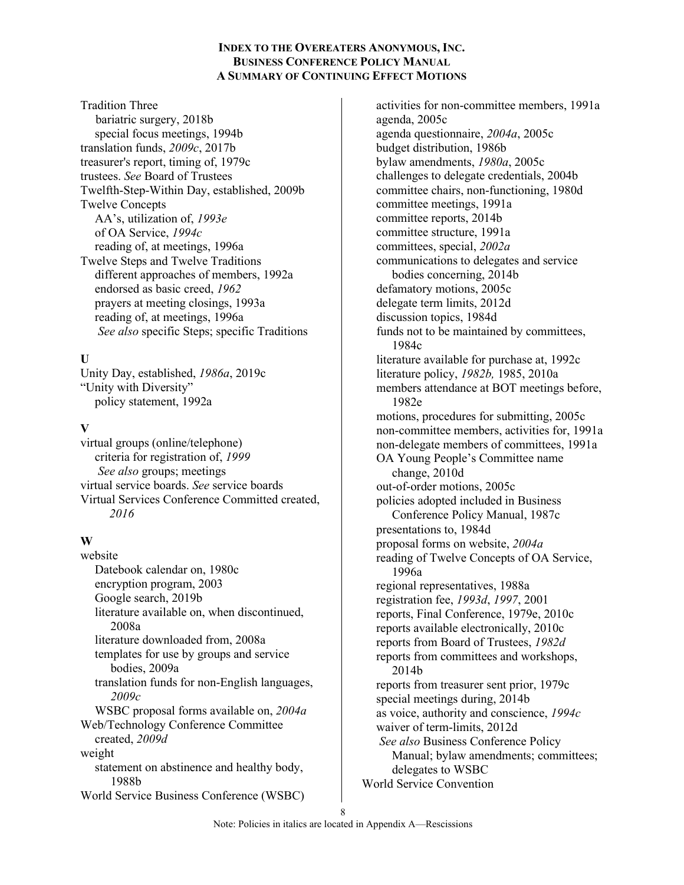Tradition Three bariatric surgery, 2018b special focus meetings, 1994b translation funds, *2009c*, 2017b treasurer's report, timing of, 1979c trustees. *See* Board of Trustees Twelfth-Step-Within Day, established, 2009b Twelve Concepts AA's, utilization of, *1993e* of OA Service, *1994c* reading of, at meetings, 1996a Twelve Steps and Twelve Traditions different approaches of members, 1992a endorsed as basic creed, *1962* prayers at meeting closings, 1993a reading of, at meetings, 1996a *See also* specific Steps; specific Traditions

## **U**

Unity Day, established, *1986a*, 2019c "Unity with Diversity" policy statement, 1992a

### **V**

virtual groups (online/telephone) criteria for registration of, *1999 See also* groups; meetings virtual service boards. *See* service boards Virtual Services Conference Committed created, *2016*

## **W**

website Datebook calendar on, 1980c encryption program, 2003 Google search, 2019b literature available on, when discontinued, 2008a literature downloaded from, 2008a templates for use by groups and service bodies, 2009a translation funds for non-English languages, *2009c* WSBC proposal forms available on, *2004a* Web/Technology Conference Committee created, *2009d* weight statement on abstinence and healthy body, 1988b World Service Business Conference (WSBC)

activities for non-committee members, 1991a agenda, 2005c agenda questionnaire, *2004a*, 2005c budget distribution, 1986b bylaw amendments, *1980a*, 2005c challenges to delegate credentials, 2004b committee chairs, non-functioning, 1980d committee meetings, 1991a committee reports, 2014b committee structure, 1991a committees, special, *2002a* communications to delegates and service bodies concerning, 2014b defamatory motions, 2005c delegate term limits, 2012d discussion topics, 1984d funds not to be maintained by committees, 1984c literature available for purchase at, 1992c literature policy, *1982b,* 1985, 2010a members attendance at BOT meetings before, 1982e motions, procedures for submitting, 2005c non-committee members, activities for, 1991a non-delegate members of committees, 1991a OA Young People's Committee name change, 2010d out-of-order motions, 2005c policies adopted included in Business Conference Policy Manual, 1987c presentations to, 1984d proposal forms on website, *2004a* reading of Twelve Concepts of OA Service, 1996a regional representatives, 1988a registration fee, *1993d*, *1997*, 2001 reports, Final Conference, 1979e, 2010c reports available electronically, 2010c reports from Board of Trustees, *1982d* reports from committees and workshops, 2014b reports from treasurer sent prior, 1979c special meetings during, 2014b as voice, authority and conscience, *1994c* waiver of term-limits, 2012d *See also* Business Conference Policy Manual; bylaw amendments; committees; delegates to WSBC World Service Convention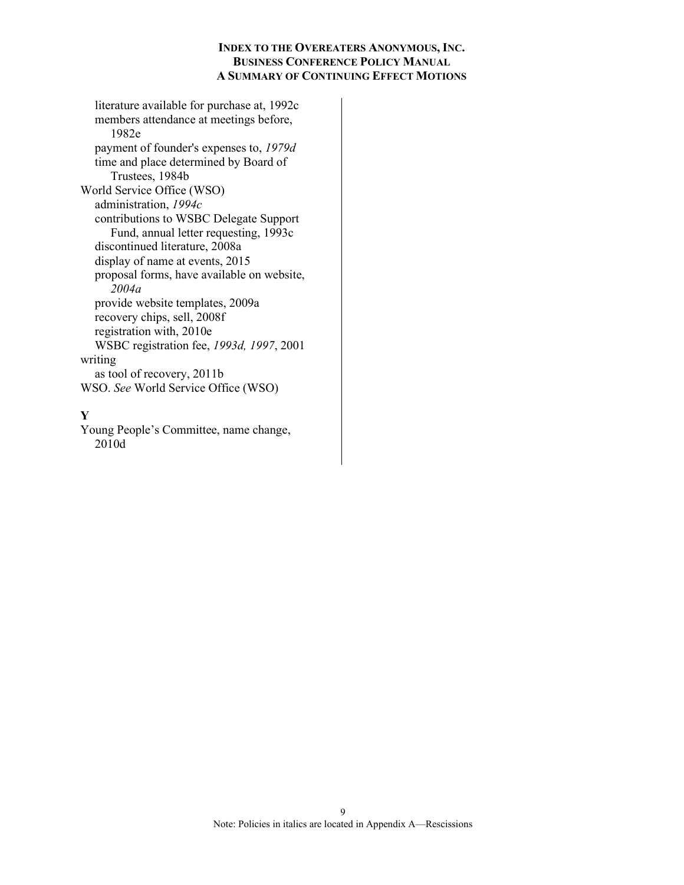literature available for purchase at, 1992c members attendance at meetings before, 1982e payment of founder's expenses to, *1979d* time and place determined by Board of Trustees, 1984b World Service Office (WSO) administration, *1994c* contributions to WSBC Delegate Support Fund, annual letter requesting, 1993c discontinued literature, 2008a display of name at events, 2015 proposal forms, have available on website, *2004a* provide website templates, 2009a recovery chips, sell, 2008f registration with, 2010e WSBC registration fee, *1993d, 1997*, 2001 writing as tool of recovery, 2011b WSO. *See* World Service Office (WSO)

### **Y**

Young People's Committee, name change, 2010d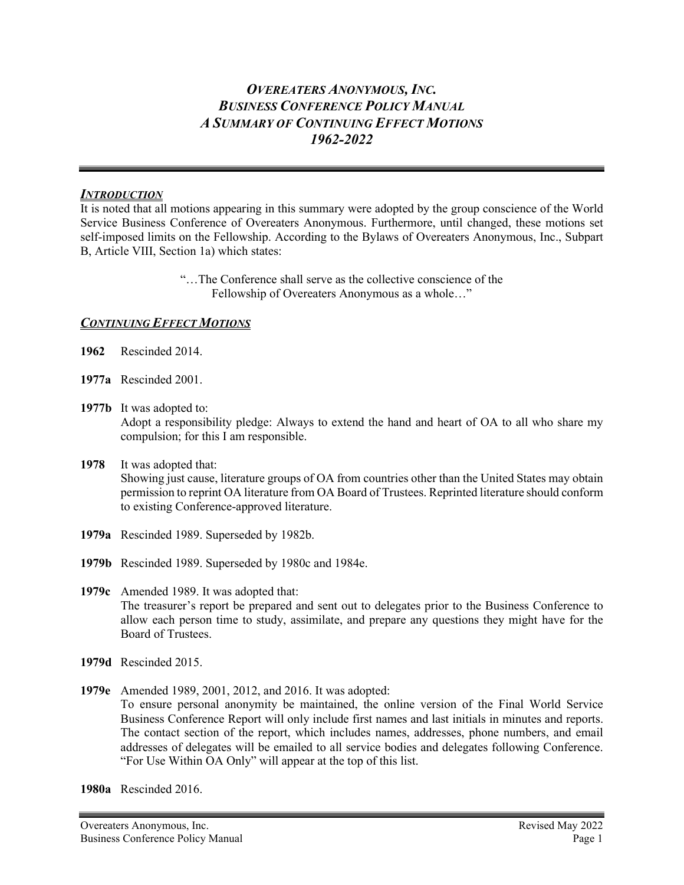## *INTRODUCTION*

It is noted that all motions appearing in this summary were adopted by the group conscience of the World Service Business Conference of Overeaters Anonymous. Furthermore, until changed, these motions set self-imposed limits on the Fellowship. According to the Bylaws of Overeaters Anonymous, Inc., Subpart B, Article VIII, Section 1a) which states:

> "…The Conference shall serve as the collective conscience of the Fellowship of Overeaters Anonymous as a whole…"

# *CONTINUING EFFECT MOTIONS*

- **1962** Rescinded 2014.
- **1977a** Rescinded 2001.
- **1977b** It was adopted to: Adopt a responsibility pledge: Always to extend the hand and heart of OA to all who share my compulsion; for this I am responsible.
- **1978** It was adopted that: Showing just cause, literature groups of OA from countries other than the United States may obtain permission to reprint OA literature from OA Board of Trustees. Reprinted literature should conform to existing Conference-approved literature.
- **1979a** Rescinded 1989. Superseded by 1982b.
- **1979b** Rescinded 1989. Superseded by 1980c and 1984e.

**1979c** Amended 1989. It was adopted that: The treasurer's report be prepared and sent out to delegates prior to the Business Conference to allow each person time to study, assimilate, and prepare any questions they might have for the Board of Trustees.

- **1979d** Rescinded 2015.
- **1979e** Amended 1989, 2001, 2012, and 2016. It was adopted: To ensure personal anonymity be maintained, the online version of the Final World Service Business Conference Report will only include first names and last initials in minutes and reports. The contact section of the report, which includes names, addresses, phone numbers, and email addresses of delegates will be emailed to all service bodies and delegates following Conference. "For Use Within OA Only" will appear at the top of this list.

**1980a** Rescinded 2016.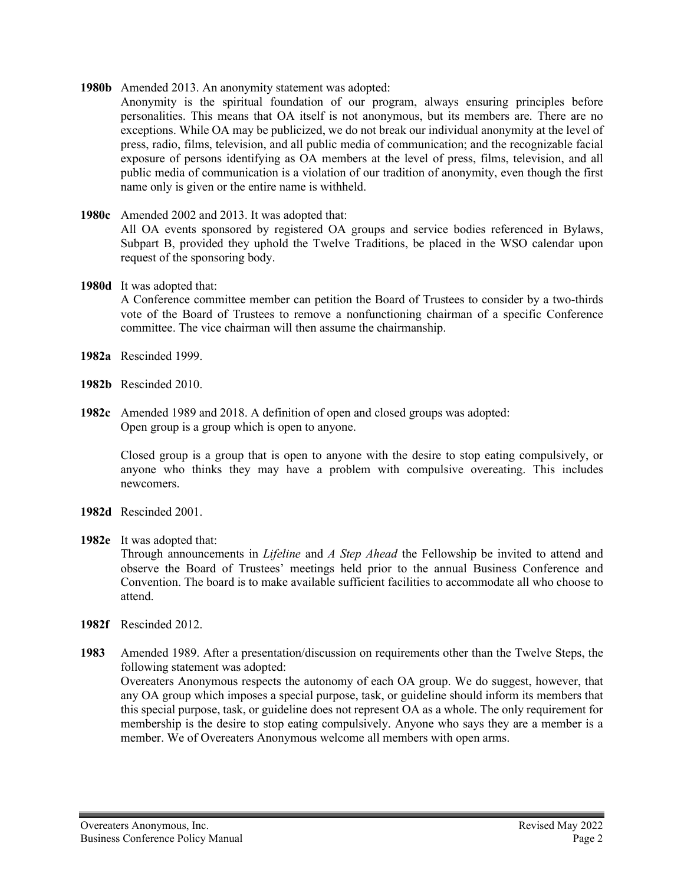- **1980b** Amended 2013. An anonymity statement was adopted:
	- Anonymity is the spiritual foundation of our program, always ensuring principles before personalities. This means that OA itself is not anonymous, but its members are. There are no exceptions. While OA may be publicized, we do not break our individual anonymity at the level of press, radio, films, television, and all public media of communication; and the recognizable facial exposure of persons identifying as OA members at the level of press, films, television, and all public media of communication is a violation of our tradition of anonymity, even though the first name only is given or the entire name is withheld.
- **1980c** Amended 2002 and 2013. It was adopted that: All OA events sponsored by registered OA groups and service bodies referenced in Bylaws, Subpart B, provided they uphold the Twelve Traditions, be placed in the WSO calendar upon request of the sponsoring body.

### **1980d** It was adopted that:

A Conference committee member can petition the Board of Trustees to consider by a two-thirds vote of the Board of Trustees to remove a nonfunctioning chairman of a specific Conference committee. The vice chairman will then assume the chairmanship.

- **1982a** Rescinded 1999.
- **1982b** Rescinded 2010.
- **1982c** Amended 1989 and 2018. A definition of open and closed groups was adopted: Open group is a group which is open to anyone.

Closed group is a group that is open to anyone with the desire to stop eating compulsively, or anyone who thinks they may have a problem with compulsive overeating. This includes newcomers.

- **1982d** Rescinded 2001.
- **1982e** It was adopted that:

Through announcements in *Lifeline* and *A Step Ahead* the Fellowship be invited to attend and observe the Board of Trustees' meetings held prior to the annual Business Conference and Convention. The board is to make available sufficient facilities to accommodate all who choose to attend.

**1982f** Rescinded 2012.

**1983** Amended 1989. After a presentation/discussion on requirements other than the Twelve Steps, the following statement was adopted: Overeaters Anonymous respects the autonomy of each OA group. We do suggest, however, that any OA group which imposes a special purpose, task, or guideline should inform its members that this special purpose, task, or guideline does not represent OA as a whole. The only requirement for membership is the desire to stop eating compulsively. Anyone who says they are a member is a

member. We of Overeaters Anonymous welcome all members with open arms.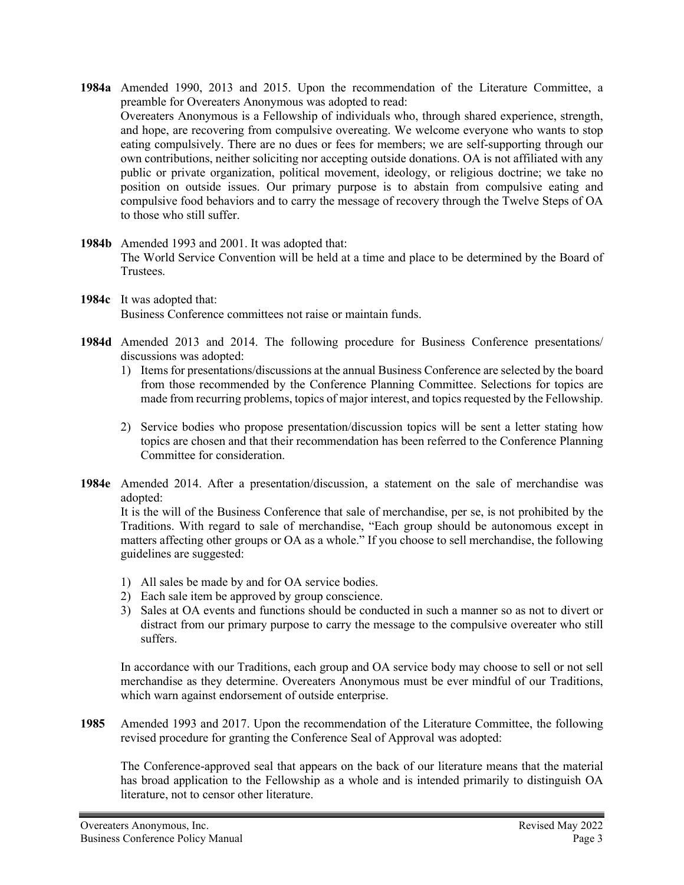- **1984a** Amended 1990, 2013 and 2015. Upon the recommendation of the Literature Committee, a preamble for Overeaters Anonymous was adopted to read: Overeaters Anonymous is a Fellowship of individuals who, through shared experience, strength, and hope, are recovering from compulsive overeating. We welcome everyone who wants to stop eating compulsively. There are no dues or fees for members; we are self-supporting through our own contributions, neither soliciting nor accepting outside donations. OA is not affiliated with any public or private organization, political movement, ideology, or religious doctrine; we take no position on outside issues. Our primary purpose is to abstain from compulsive eating and compulsive food behaviors and to carry the message of recovery through the Twelve Steps of OA to those who still suffer.
- **1984b** Amended 1993 and 2001. It was adopted that: The World Service Convention will be held at a time and place to be determined by the Board of Trustees.
- **1984c** It was adopted that: Business Conference committees not raise or maintain funds.
- **1984d** Amended 2013 and 2014. The following procedure for Business Conference presentations/ discussions was adopted:
	- 1) Items for presentations/discussions at the annual Business Conference are selected by the board from those recommended by the Conference Planning Committee. Selections for topics are made from recurring problems, topics of major interest, and topics requested by the Fellowship.
	- 2) Service bodies who propose presentation/discussion topics will be sent a letter stating how topics are chosen and that their recommendation has been referred to the Conference Planning Committee for consideration.
- **1984e** Amended 2014. After a presentation/discussion, a statement on the sale of merchandise was adopted:

It is the will of the Business Conference that sale of merchandise, per se, is not prohibited by the Traditions. With regard to sale of merchandise, "Each group should be autonomous except in matters affecting other groups or OA as a whole." If you choose to sell merchandise, the following guidelines are suggested:

- 1) All sales be made by and for OA service bodies.
- 2) Each sale item be approved by group conscience.
- 3) Sales at OA events and functions should be conducted in such a manner so as not to divert or distract from our primary purpose to carry the message to the compulsive overeater who still suffers.

In accordance with our Traditions, each group and OA service body may choose to sell or not sell merchandise as they determine. Overeaters Anonymous must be ever mindful of our Traditions, which warn against endorsement of outside enterprise.

**1985** Amended 1993 and 2017. Upon the recommendation of the Literature Committee, the following revised procedure for granting the Conference Seal of Approval was adopted:

The Conference-approved seal that appears on the back of our literature means that the material has broad application to the Fellowship as a whole and is intended primarily to distinguish OA literature, not to censor other literature.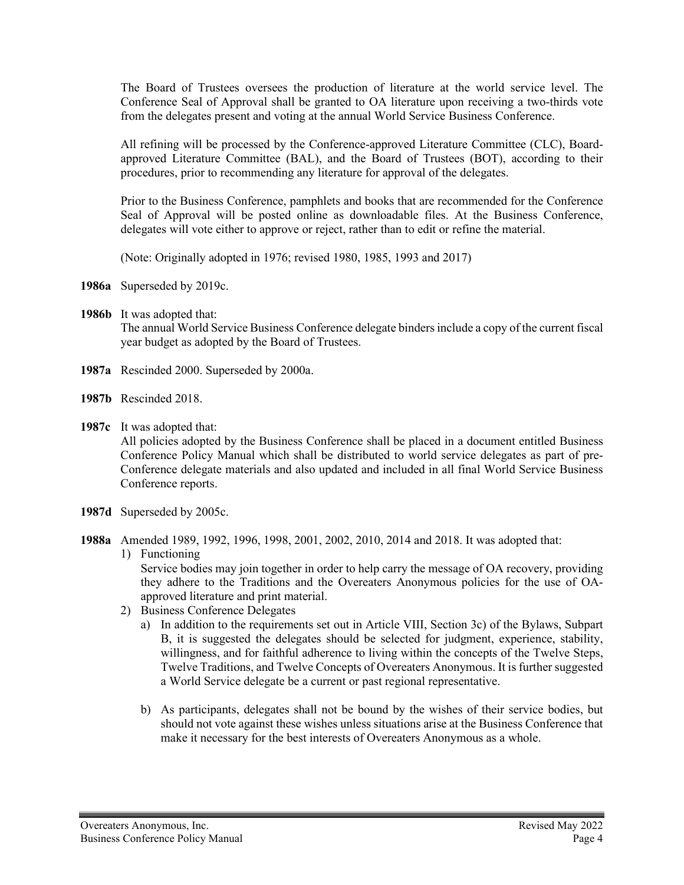The Board of Trustees oversees the production of literature at the world service level. The Conference Seal of Approval shall be granted to OA literature upon receiving a two-thirds vote from the delegates present and voting at the annual World Service Business Conference.

All refining will be processed by the Conference-approved Literature Committee (CLC), Boardapproved Literature Committee (BAL), and the Board of Trustees (BOT), according to their procedures, prior to recommending any literature for approval of the delegates.

Prior to the Business Conference, pamphlets and books that are recommended for the Conference Seal of Approval will be posted online as downloadable files. At the Business Conference, delegates will vote either to approve or reject, rather than to edit or refine the material.

(Note: Originally adopted in 1976; revised 1980, 1985, 1993 and 2017)

**1986a** Superseded by 2019c.

**1986b** It was adopted that:

The annual World Service Business Conference delegate binders include a copy of the current fiscal year budget as adopted by the Board of Trustees.

- **1987a** Rescinded 2000. Superseded by 2000a.
- **1987b** Rescinded 2018.
- **1987c** It was adopted that:

All policies adopted by the Business Conference shall be placed in a document entitled Business Conference Policy Manual which shall be distributed to world service delegates as part of pre-Conference delegate materials and also updated and included in all final World Service Business Conference reports.

- **1987d** Superseded by 2005c.
- **1988a** Amended 1989, 1992, 1996, 1998, 2001, 2002, 2010, 2014 and 2018. It was adopted that:
	- 1) Functioning

Service bodies may join together in order to help carry the message of OA recovery, providing they adhere to the Traditions and the Overeaters Anonymous policies for the use of OAapproved literature and print material.

- 2) Business Conference Delegates
	- a) In addition to the requirements set out in Article VIII, Section 3c) of the Bylaws, Subpart B, it is suggested the delegates should be selected for judgment, experience, stability, willingness, and for faithful adherence to living within the concepts of the Twelve Steps, Twelve Traditions, and Twelve Concepts of Overeaters Anonymous. It is further suggested a World Service delegate be a current or past regional representative.
	- b) As participants, delegates shall not be bound by the wishes of their service bodies, but should not vote against these wishes unless situations arise at the Business Conference that make it necessary for the best interests of Overeaters Anonymous as a whole.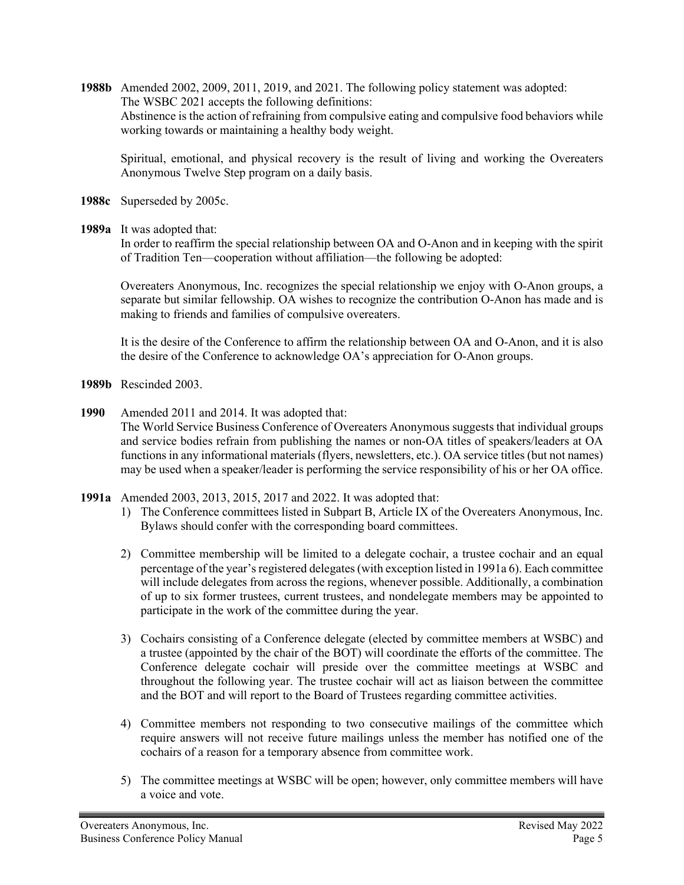**1988b** Amended 2002, 2009, 2011, 2019, and 2021. The following policy statement was adopted: The WSBC 2021 accepts the following definitions: Abstinence is the action of refraining from compulsive eating and compulsive food behaviors while working towards or maintaining a healthy body weight.

Spiritual, emotional, and physical recovery is the result of living and working the Overeaters Anonymous Twelve Step program on a daily basis.

- **1988c** Superseded by 2005c.
- **1989a** It was adopted that:

In order to reaffirm the special relationship between OA and O-Anon and in keeping with the spirit of Tradition Ten—cooperation without affiliation—the following be adopted:

Overeaters Anonymous, Inc. recognizes the special relationship we enjoy with O-Anon groups, a separate but similar fellowship. OA wishes to recognize the contribution O-Anon has made and is making to friends and families of compulsive overeaters.

It is the desire of the Conference to affirm the relationship between OA and O-Anon, and it is also the desire of the Conference to acknowledge OA's appreciation for O-Anon groups.

- **1989b** Rescinded 2003.
- **1990** Amended 2011 and 2014. It was adopted that:
	- The World Service Business Conference of Overeaters Anonymous suggests that individual groups and service bodies refrain from publishing the names or non-OA titles of speakers/leaders at OA functions in any informational materials (flyers, newsletters, etc.). OA service titles (but not names) may be used when a speaker/leader is performing the service responsibility of his or her OA office.
- **1991a** Amended 2003, 2013, 2015, 2017 and 2022. It was adopted that:
	- 1) The Conference committees listed in Subpart B, Article IX of the Overeaters Anonymous, Inc. Bylaws should confer with the corresponding board committees.
	- 2) Committee membership will be limited to a delegate cochair, a trustee cochair and an equal percentage of the year's registered delegates (with exception listed in 1991a 6). Each committee will include delegates from across the regions, whenever possible. Additionally, a combination of up to six former trustees, current trustees, and nondelegate members may be appointed to participate in the work of the committee during the year.
	- 3) Cochairs consisting of a Conference delegate (elected by committee members at WSBC) and a trustee (appointed by the chair of the BOT) will coordinate the efforts of the committee. The Conference delegate cochair will preside over the committee meetings at WSBC and throughout the following year. The trustee cochair will act as liaison between the committee and the BOT and will report to the Board of Trustees regarding committee activities.
	- 4) Committee members not responding to two consecutive mailings of the committee which require answers will not receive future mailings unless the member has notified one of the cochairs of a reason for a temporary absence from committee work.
	- 5) The committee meetings at WSBC will be open; however, only committee members will have a voice and vote.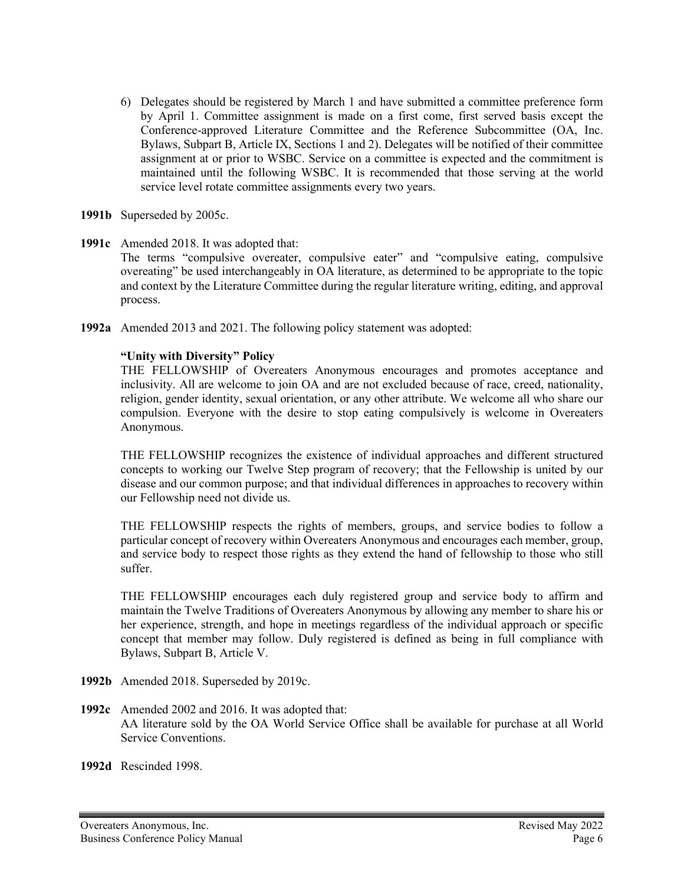- 6) Delegates should be registered by March 1 and have submitted a committee preference form by April 1. Committee assignment is made on a first come, first served basis except the Conference-approved Literature Committee and the Reference Subcommittee (OA, Inc. Bylaws, Subpart B, Article IX, Sections 1 and 2). Delegates will be notified of their committee assignment at or prior to WSBC. Service on a committee is expected and the commitment is maintained until the following WSBC. It is recommended that those serving at the world service level rotate committee assignments every two years.
- **1991b** Superseded by 2005c.
- **1991c** Amended 2018. It was adopted that: The terms "compulsive overeater, compulsive eater" and "compulsive eating, compulsive overeating" be used interchangeably in OA literature, as determined to be appropriate to the topic and context by the Literature Committee during the regular literature writing, editing, and approval process.
- **1992a** Amended 2013 and 2021. The following policy statement was adopted:

## **"Unity with Diversity" Policy**

THE FELLOWSHIP of Overeaters Anonymous encourages and promotes acceptance and inclusivity. All are welcome to join OA and are not excluded because of race, creed, nationality, religion, gender identity, sexual orientation, or any other attribute. We welcome all who share our compulsion. Everyone with the desire to stop eating compulsively is welcome in Overeaters Anonymous.

THE FELLOWSHIP recognizes the existence of individual approaches and different structured concepts to working our Twelve Step program of recovery; that the Fellowship is united by our disease and our common purpose; and that individual differences in approaches to recovery within our Fellowship need not divide us.

THE FELLOWSHIP respects the rights of members, groups, and service bodies to follow a particular concept of recovery within Overeaters Anonymous and encourages each member, group, and service body to respect those rights as they extend the hand of fellowship to those who still suffer.

THE FELLOWSHIP encourages each duly registered group and service body to affirm and maintain the Twelve Traditions of Overeaters Anonymous by allowing any member to share his or her experience, strength, and hope in meetings regardless of the individual approach or specific concept that member may follow. Duly registered is defined as being in full compliance with Bylaws, Subpart B, Article V.

- **1992b** Amended 2018. Superseded by 2019c.
- **1992c** Amended 2002 and 2016. It was adopted that: AA literature sold by the OA World Service Office shall be available for purchase at all World Service Conventions.
- **1992d** Rescinded 1998.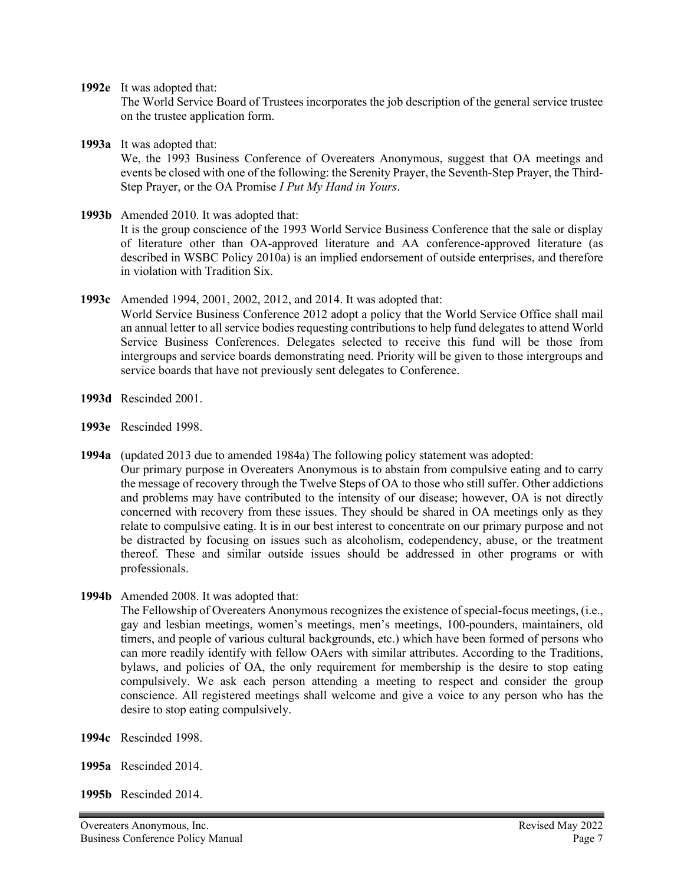**1992e** It was adopted that:

The World Service Board of Trustees incorporates the job description of the general service trustee on the trustee application form.

**1993a** It was adopted that:

We, the 1993 Business Conference of Overeaters Anonymous, suggest that OA meetings and events be closed with one of the following: the Serenity Prayer, the Seventh-Step Prayer, the Third-Step Prayer, or the OA Promise *I Put My Hand in Yours*.

**1993b** Amended 2010. It was adopted that:

It is the group conscience of the 1993 World Service Business Conference that the sale or display of literature other than OA-approved literature and AA conference-approved literature (as described in WSBC Policy 2010a) is an implied endorsement of outside enterprises, and therefore in violation with Tradition Six.

**1993c** Amended 1994, 2001, 2002, 2012, and 2014. It was adopted that:

World Service Business Conference 2012 adopt a policy that the World Service Office shall mail an annual letter to all service bodies requesting contributions to help fund delegates to attend World Service Business Conferences. Delegates selected to receive this fund will be those from intergroups and service boards demonstrating need. Priority will be given to those intergroups and service boards that have not previously sent delegates to Conference.

- **1993d** Rescinded 2001.
- **1993e** Rescinded 1998.
- **1994a** (updated 2013 due to amended 1984a) The following policy statement was adopted: Our primary purpose in Overeaters Anonymous is to abstain from compulsive eating and to carry the message of recovery through the Twelve Steps of OA to those who still suffer. Other addictions and problems may have contributed to the intensity of our disease; however, OA is not directly concerned with recovery from these issues. They should be shared in OA meetings only as they relate to compulsive eating. It is in our best interest to concentrate on our primary purpose and not be distracted by focusing on issues such as alcoholism, codependency, abuse, or the treatment thereof. These and similar outside issues should be addressed in other programs or with professionals.
- **1994b** Amended 2008. It was adopted that:

The Fellowship of Overeaters Anonymous recognizes the existence of special-focus meetings, (i.e., gay and lesbian meetings, women's meetings, men's meetings, 100-pounders, maintainers, old timers, and people of various cultural backgrounds, etc.) which have been formed of persons who can more readily identify with fellow OAers with similar attributes. According to the Traditions, bylaws, and policies of OA, the only requirement for membership is the desire to stop eating compulsively. We ask each person attending a meeting to respect and consider the group conscience. All registered meetings shall welcome and give a voice to any person who has the desire to stop eating compulsively.

- **1994c** Rescinded 1998.
- **1995a** Rescinded 2014.
- **1995b** Rescinded 2014.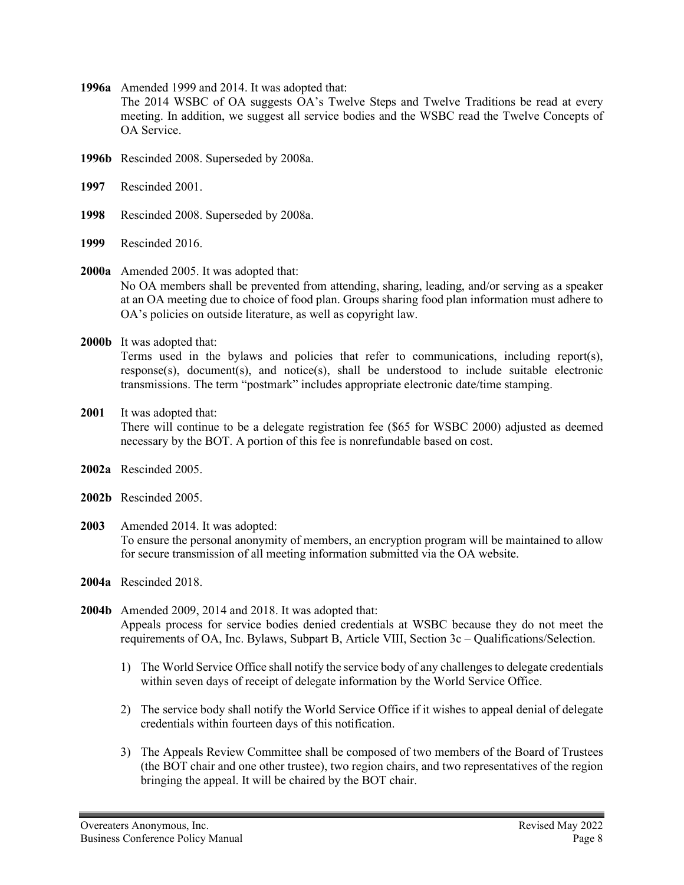**1996a** Amended 1999 and 2014. It was adopted that:

The 2014 WSBC of OA suggests OA's Twelve Steps and Twelve Traditions be read at every meeting. In addition, we suggest all service bodies and the WSBC read the Twelve Concepts of OA Service.

- **1996b** Rescinded 2008. Superseded by 2008a.
- **1997** Rescinded 2001.
- **1998** Rescinded 2008. Superseded by 2008a.
- **1999** Rescinded 2016.

### **2000a** Amended 2005. It was adopted that: No OA members shall be prevented from attending, sharing, leading, and/or serving as a speaker at an OA meeting due to choice of food plan. Groups sharing food plan information must adhere to OA's policies on outside literature, as well as copyright law.

**2000b** It was adopted that:

Terms used in the bylaws and policies that refer to communications, including report(s), response(s), document(s), and notice(s), shall be understood to include suitable electronic transmissions. The term "postmark" includes appropriate electronic date/time stamping.

- **2001** It was adopted that: There will continue to be a delegate registration fee (\$65 for WSBC 2000) adjusted as deemed necessary by the BOT. A portion of this fee is nonrefundable based on cost.
- **2002a** Rescinded 2005.
- **2002b** Rescinded 2005.
- **2003** Amended 2014. It was adopted: To ensure the personal anonymity of members, an encryption program will be maintained to allow for secure transmission of all meeting information submitted via the OA website.
- **2004a** Rescinded 2018.
- **2004b** Amended 2009, 2014 and 2018. It was adopted that: Appeals process for service bodies denied credentials at WSBC because they do not meet the requirements of OA, Inc. Bylaws, Subpart B, Article VIII, Section 3c – Qualifications/Selection.
	- 1) The World Service Office shall notify the service body of any challenges to delegate credentials within seven days of receipt of delegate information by the World Service Office.
	- 2) The service body shall notify the World Service Office if it wishes to appeal denial of delegate credentials within fourteen days of this notification.
	- 3) The Appeals Review Committee shall be composed of two members of the Board of Trustees (the BOT chair and one other trustee), two region chairs, and two representatives of the region bringing the appeal. It will be chaired by the BOT chair.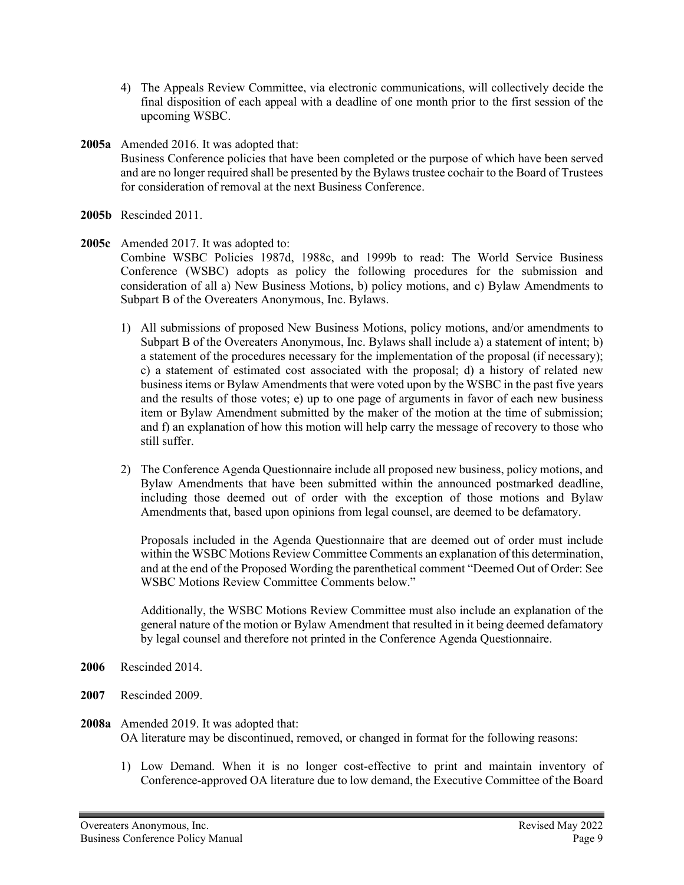- 4) The Appeals Review Committee, via electronic communications, will collectively decide the final disposition of each appeal with a deadline of one month prior to the first session of the upcoming WSBC.
- **2005a** Amended 2016. It was adopted that: Business Conference policies that have been completed or the purpose of which have been served and are no longer required shall be presented by the Bylaws trustee cochair to the Board of Trustees for consideration of removal at the next Business Conference.
- **2005b** Rescinded 2011.

# **2005c** Amended 2017. It was adopted to:

Combine WSBC Policies 1987d, 1988c, and 1999b to read: The World Service Business Conference (WSBC) adopts as policy the following procedures for the submission and consideration of all a) New Business Motions, b) policy motions, and c) Bylaw Amendments to Subpart B of the Overeaters Anonymous, Inc. Bylaws.

- 1) All submissions of proposed New Business Motions, policy motions, and/or amendments to Subpart B of the Overeaters Anonymous, Inc. Bylaws shall include a) a statement of intent; b) a statement of the procedures necessary for the implementation of the proposal (if necessary); c) a statement of estimated cost associated with the proposal; d) a history of related new business items or Bylaw Amendments that were voted upon by the WSBC in the past five years and the results of those votes; e) up to one page of arguments in favor of each new business item or Bylaw Amendment submitted by the maker of the motion at the time of submission; and f) an explanation of how this motion will help carry the message of recovery to those who still suffer.
- 2) The Conference Agenda Questionnaire include all proposed new business, policy motions, and Bylaw Amendments that have been submitted within the announced postmarked deadline, including those deemed out of order with the exception of those motions and Bylaw Amendments that, based upon opinions from legal counsel, are deemed to be defamatory.

Proposals included in the Agenda Questionnaire that are deemed out of order must include within the WSBC Motions Review Committee Comments an explanation of this determination, and at the end of the Proposed Wording the parenthetical comment "Deemed Out of Order: See WSBC Motions Review Committee Comments below."

Additionally, the WSBC Motions Review Committee must also include an explanation of the general nature of the motion or Bylaw Amendment that resulted in it being deemed defamatory by legal counsel and therefore not printed in the Conference Agenda Questionnaire.

- **2006** Rescinded 2014.
- **2007** Rescinded 2009.
- **2008a** Amended 2019. It was adopted that: OA literature may be discontinued, removed, or changed in format for the following reasons:
	- 1) Low Demand. When it is no longer cost-effective to print and maintain inventory of Conference-approved OA literature due to low demand, the Executive Committee of the Board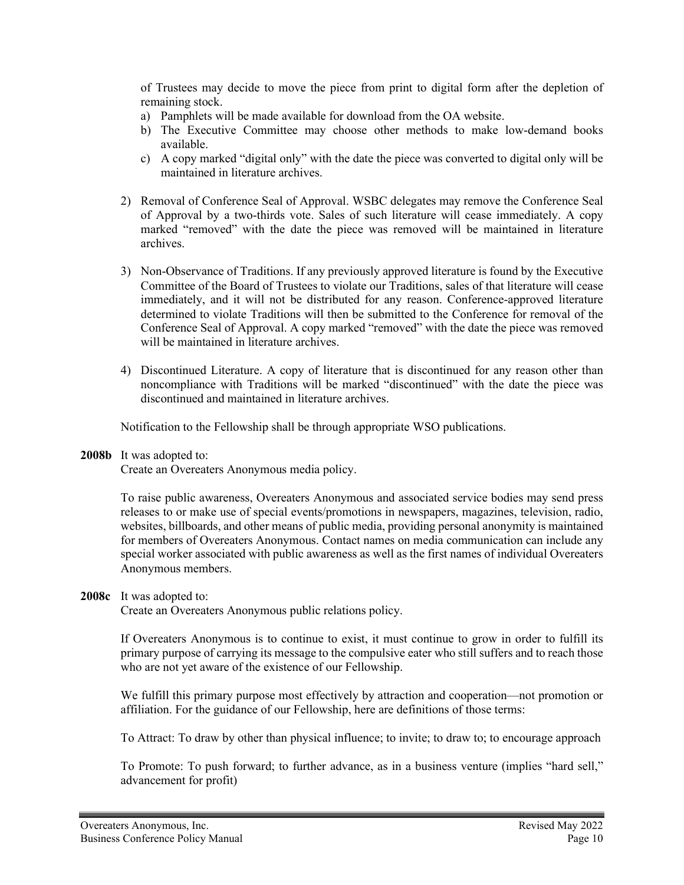of Trustees may decide to move the piece from print to digital form after the depletion of remaining stock.

- a) Pamphlets will be made available for download from the OA website.
- b) The Executive Committee may choose other methods to make low-demand books available.
- c) A copy marked "digital only" with the date the piece was converted to digital only will be maintained in literature archives.
- 2) Removal of Conference Seal of Approval. WSBC delegates may remove the Conference Seal of Approval by a two-thirds vote. Sales of such literature will cease immediately. A copy marked "removed" with the date the piece was removed will be maintained in literature archives.
- 3) Non-Observance of Traditions. If any previously approved literature is found by the Executive Committee of the Board of Trustees to violate our Traditions, sales of that literature will cease immediately, and it will not be distributed for any reason. Conference-approved literature determined to violate Traditions will then be submitted to the Conference for removal of the Conference Seal of Approval. A copy marked "removed" with the date the piece was removed will be maintained in literature archives.
- 4) Discontinued Literature. A copy of literature that is discontinued for any reason other than noncompliance with Traditions will be marked "discontinued" with the date the piece was discontinued and maintained in literature archives.

Notification to the Fellowship shall be through appropriate WSO publications.

**2008b** It was adopted to:

Create an Overeaters Anonymous media policy.

To raise public awareness, Overeaters Anonymous and associated service bodies may send press releases to or make use of special events/promotions in newspapers, magazines, television, radio, websites, billboards, and other means of public media, providing personal anonymity is maintained for members of Overeaters Anonymous. Contact names on media communication can include any special worker associated with public awareness as well as the first names of individual Overeaters Anonymous members.

**2008c** It was adopted to:

Create an Overeaters Anonymous public relations policy.

If Overeaters Anonymous is to continue to exist, it must continue to grow in order to fulfill its primary purpose of carrying its message to the compulsive eater who still suffers and to reach those who are not yet aware of the existence of our Fellowship.

We fulfill this primary purpose most effectively by attraction and cooperation—not promotion or affiliation. For the guidance of our Fellowship, here are definitions of those terms:

To Attract: To draw by other than physical influence; to invite; to draw to; to encourage approach

To Promote: To push forward; to further advance, as in a business venture (implies "hard sell," advancement for profit)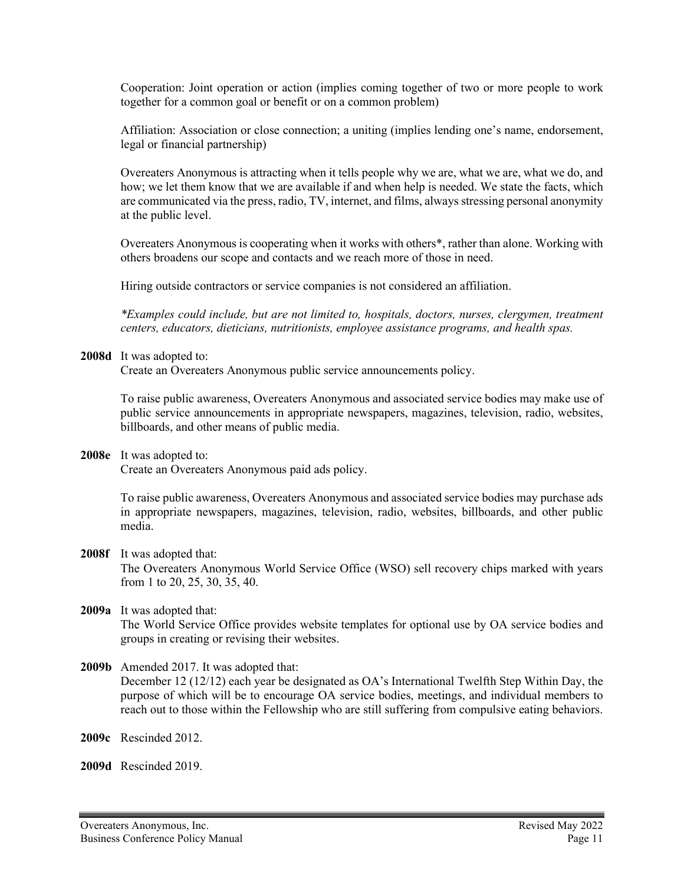Cooperation: Joint operation or action (implies coming together of two or more people to work together for a common goal or benefit or on a common problem)

Affiliation: Association or close connection; a uniting (implies lending one's name, endorsement, legal or financial partnership)

Overeaters Anonymous is attracting when it tells people why we are, what we are, what we do, and how; we let them know that we are available if and when help is needed. We state the facts, which are communicated via the press, radio, TV, internet, and films, always stressing personal anonymity at the public level.

Overeaters Anonymous is cooperating when it works with others\*, rather than alone. Working with others broadens our scope and contacts and we reach more of those in need.

Hiring outside contractors or service companies is not considered an affiliation.

*\*Examples could include, but are not limited to, hospitals, doctors, nurses, clergymen, treatment centers, educators, dieticians, nutritionists, employee assistance programs, and health spas.*

**2008d** It was adopted to:

Create an Overeaters Anonymous public service announcements policy.

To raise public awareness, Overeaters Anonymous and associated service bodies may make use of public service announcements in appropriate newspapers, magazines, television, radio, websites, billboards, and other means of public media.

**2008e** It was adopted to:

Create an Overeaters Anonymous paid ads policy.

To raise public awareness, Overeaters Anonymous and associated service bodies may purchase ads in appropriate newspapers, magazines, television, radio, websites, billboards, and other public media.

**2008f** It was adopted that:

The Overeaters Anonymous World Service Office (WSO) sell recovery chips marked with years from 1 to 20, 25, 30, 35, 40.

## **2009a** It was adopted that:

The World Service Office provides website templates for optional use by OA service bodies and groups in creating or revising their websites.

**2009b** Amended 2017. It was adopted that:

December 12 (12/12) each year be designated as OA's International Twelfth Step Within Day, the purpose of which will be to encourage OA service bodies, meetings, and individual members to reach out to those within the Fellowship who are still suffering from compulsive eating behaviors.

**2009c** Rescinded 2012.

**2009d** Rescinded 2019.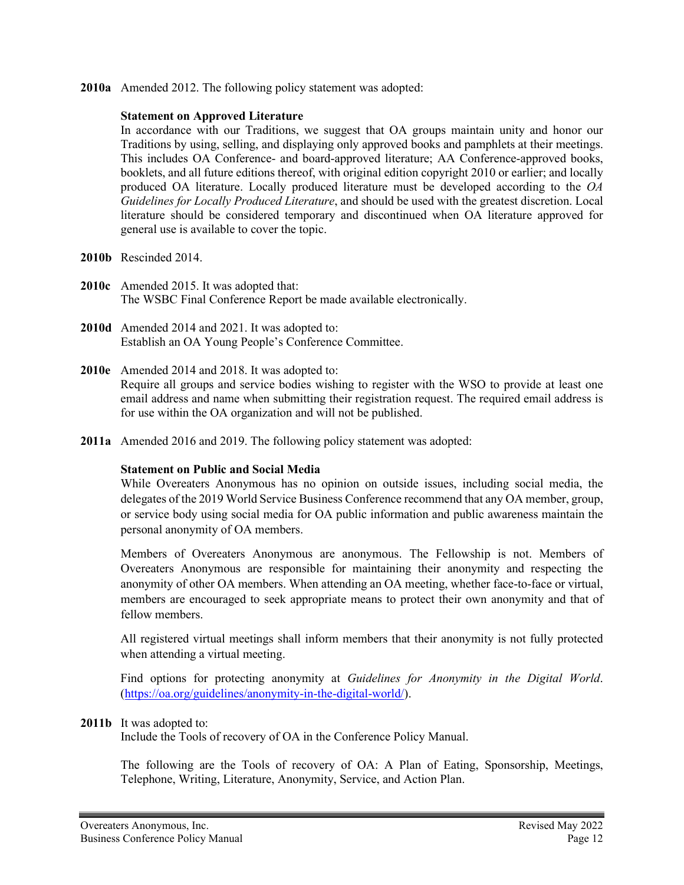**2010a** Amended 2012. The following policy statement was adopted:

### **Statement on Approved Literature**

In accordance with our Traditions, we suggest that OA groups maintain unity and honor our Traditions by using, selling, and displaying only approved books and pamphlets at their meetings. This includes OA Conference- and board-approved literature; AA Conference-approved books, booklets, and all future editions thereof, with original edition copyright 2010 or earlier; and locally produced OA literature. Locally produced literature must be developed according to the *OA Guidelines for Locally Produced Literature*, and should be used with the greatest discretion. Local literature should be considered temporary and discontinued when OA literature approved for general use is available to cover the topic.

- **2010b** Rescinded 2014.
- **2010c** Amended 2015. It was adopted that: The WSBC Final Conference Report be made available electronically.
- **2010d** Amended 2014 and 2021. It was adopted to: Establish an OA Young People's Conference Committee.
- **2010e** Amended 2014 and 2018. It was adopted to: Require all groups and service bodies wishing to register with the WSO to provide at least one email address and name when submitting their registration request. The required email address is for use within the OA organization and will not be published.
- **2011a** Amended 2016 and 2019. The following policy statement was adopted:

## **Statement on Public and Social Media**

While Overeaters Anonymous has no opinion on outside issues, including social media, the delegates of the 2019 World Service Business Conference recommend that any OA member, group, or service body using social media for OA public information and public awareness maintain the personal anonymity of OA members.

Members of Overeaters Anonymous are anonymous. The Fellowship is not. Members of Overeaters Anonymous are responsible for maintaining their anonymity and respecting the anonymity of other OA members. When attending an OA meeting, whether face-to-face or virtual, members are encouraged to seek appropriate means to protect their own anonymity and that of fellow members.

All registered virtual meetings shall inform members that their anonymity is not fully protected when attending a virtual meeting.

Find options for protecting anonymity at *Guidelines for Anonymity in the Digital World*. [\(https://oa.org/guidelines/anonymity-in-the-digital-world/\)](https://oa.org/guidelines/anonymity-in-the-digital-world/).

## **2011b** It was adopted to:

Include the Tools of recovery of OA in the Conference Policy Manual.

The following are the Tools of recovery of OA: A Plan of Eating, Sponsorship, Meetings, Telephone, Writing, Literature, Anonymity, Service, and Action Plan.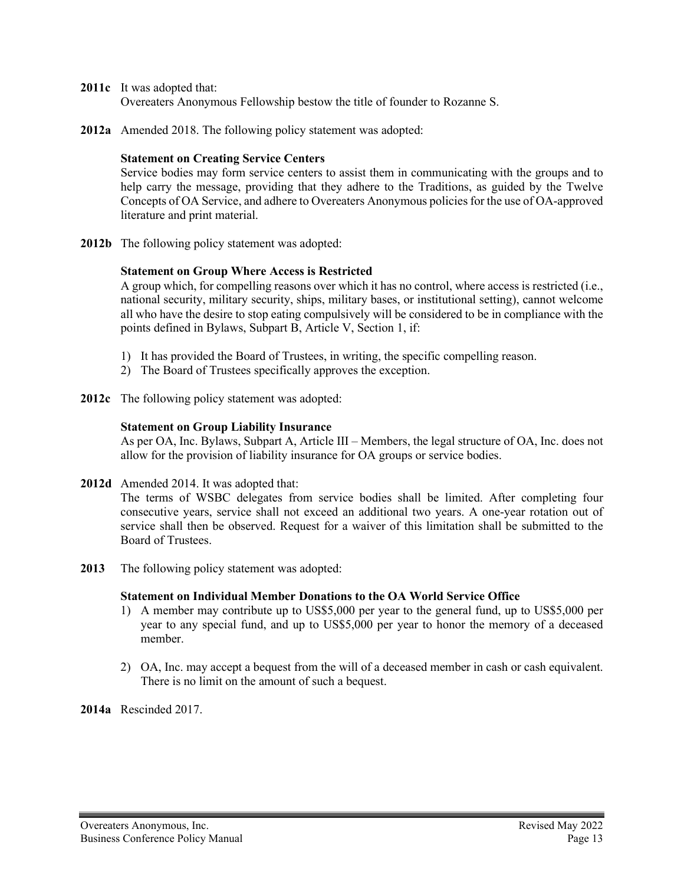- **2011c** It was adopted that: Overeaters Anonymous Fellowship bestow the title of founder to Rozanne S.
- **2012a** Amended 2018. The following policy statement was adopted:

### **Statement on Creating Service Centers**

Service bodies may form service centers to assist them in communicating with the groups and to help carry the message, providing that they adhere to the Traditions, as guided by the Twelve Concepts of OA Service, and adhere to Overeaters Anonymous policies for the use of OA-approved literature and print material.

**2012b** The following policy statement was adopted:

### **Statement on Group Where Access is Restricted**

A group which, for compelling reasons over which it has no control, where access is restricted (i.e., national security, military security, ships, military bases, or institutional setting), cannot welcome all who have the desire to stop eating compulsively will be considered to be in compliance with the points defined in Bylaws, Subpart B, Article V, Section 1, if:

- 1) It has provided the Board of Trustees, in writing, the specific compelling reason.
- 2) The Board of Trustees specifically approves the exception.
- **2012c** The following policy statement was adopted:

### **Statement on Group Liability Insurance**

As per OA, Inc. Bylaws, Subpart A, Article III – Members, the legal structure of OA, Inc. does not allow for the provision of liability insurance for OA groups or service bodies.

**2012d** Amended 2014. It was adopted that:

The terms of WSBC delegates from service bodies shall be limited. After completing four consecutive years, service shall not exceed an additional two years. A one-year rotation out of service shall then be observed. Request for a waiver of this limitation shall be submitted to the Board of Trustees.

**2013** The following policy statement was adopted:

## **Statement on Individual Member Donations to the OA World Service Office**

- 1) A member may contribute up to US\$5,000 per year to the general fund, up to US\$5,000 per year to any special fund, and up to US\$5,000 per year to honor the memory of a deceased member.
- 2) OA, Inc. may accept a bequest from the will of a deceased member in cash or cash equivalent. There is no limit on the amount of such a bequest.

**2014a** Rescinded 2017.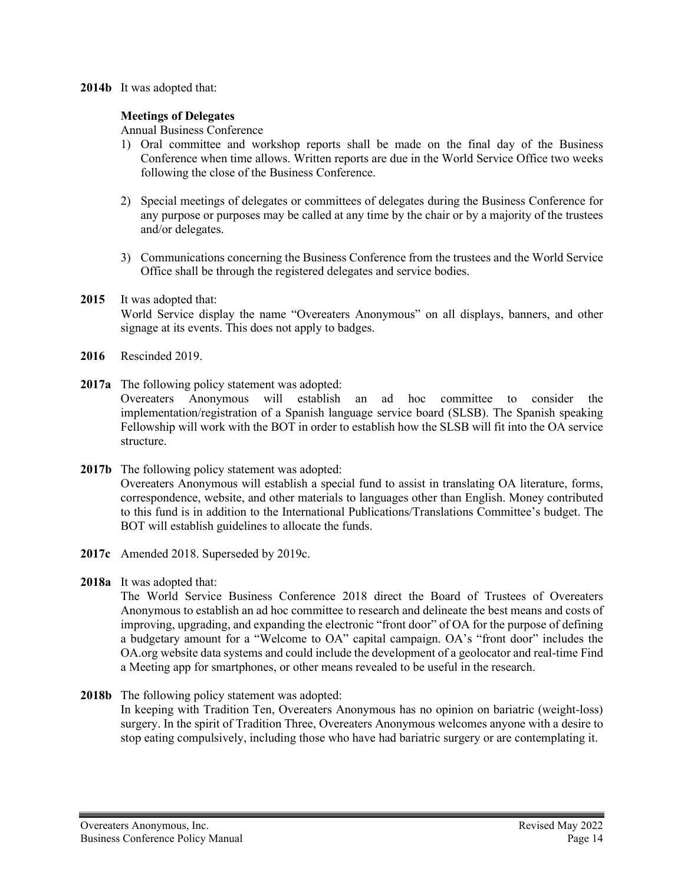### **2014b** It was adopted that:

## **Meetings of Delegates**

Annual Business Conference

- 1) Oral committee and workshop reports shall be made on the final day of the Business Conference when time allows. Written reports are due in the World Service Office two weeks following the close of the Business Conference.
- 2) Special meetings of delegates or committees of delegates during the Business Conference for any purpose or purposes may be called at any time by the chair or by a majority of the trustees and/or delegates.
- 3) Communications concerning the Business Conference from the trustees and the World Service Office shall be through the registered delegates and service bodies.
- **2015** It was adopted that: World Service display the name "Overeaters Anonymous" on all displays, banners, and other signage at its events. This does not apply to badges.
- **2016** Rescinded 2019.
- **2017a** The following policy statement was adopted: Overeaters Anonymous will establish an ad hoc committee to consider the implementation/registration of a Spanish language service board (SLSB). The Spanish speaking Fellowship will work with the BOT in order to establish how the SLSB will fit into the OA service structure.
- **2017b** The following policy statement was adopted: Overeaters Anonymous will establish a special fund to assist in translating OA literature, forms, correspondence, website, and other materials to languages other than English. Money contributed to this fund is in addition to the International Publications/Translations Committee's budget. The BOT will establish guidelines to allocate the funds.
- **2017c** Amended 2018. Superseded by 2019c.
- **2018a** It was adopted that:

The World Service Business Conference 2018 direct the Board of Trustees of Overeaters Anonymous to establish an ad hoc committee to research and delineate the best means and costs of improving, upgrading, and expanding the electronic "front door" of OA for the purpose of defining a budgetary amount for a "Welcome to OA" capital campaign. OA's "front door" includes the OA.org website data systems and could include the development of a geolocator and real-time Find a Meeting app for smartphones, or other means revealed to be useful in the research.

**2018b** The following policy statement was adopted: In keeping with Tradition Ten, Overeaters Anonymous has no opinion on bariatric (weight-loss) surgery. In the spirit of Tradition Three, Overeaters Anonymous welcomes anyone with a desire to stop eating compulsively, including those who have had bariatric surgery or are contemplating it.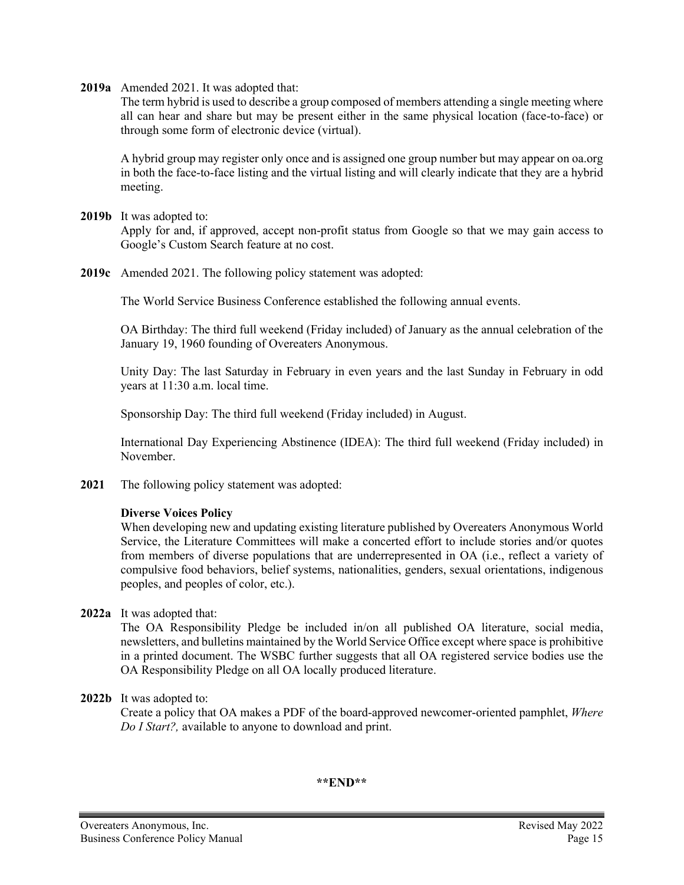**2019a** Amended 2021. It was adopted that:

The term hybrid is used to describe a group composed of members attending a single meeting where all can hear and share but may be present either in the same physical location (face-to-face) or through some form of electronic device (virtual).

A hybrid group may register only once and is assigned one group number but may appear on oa.org in both the face-to-face listing and the virtual listing and will clearly indicate that they are a hybrid meeting.

**2019b** It was adopted to:

Apply for and, if approved, accept non-profit status from Google so that we may gain access to Google's Custom Search feature at no cost.

**2019c** Amended 2021. The following policy statement was adopted:

The World Service Business Conference established the following annual events.

OA Birthday: The third full weekend (Friday included) of January as the annual celebration of the January 19, 1960 founding of Overeaters Anonymous.

Unity Day: The last Saturday in February in even years and the last Sunday in February in odd years at 11:30 a.m. local time.

Sponsorship Day: The third full weekend (Friday included) in August.

International Day Experiencing Abstinence (IDEA): The third full weekend (Friday included) in November.

**2021** The following policy statement was adopted:

## **Diverse Voices Policy**

When developing new and updating existing literature published by Overeaters Anonymous World Service, the Literature Committees will make a concerted effort to include stories and/or quotes from members of diverse populations that are underrepresented in OA (i.e., reflect a variety of compulsive food behaviors, belief systems, nationalities, genders, sexual orientations, indigenous peoples, and peoples of color, etc.).

**2022a** It was adopted that:

The OA Responsibility Pledge be included in/on all published OA literature, social media, newsletters, and bulletins maintained by the World Service Office except where space is prohibitive in a printed document. The WSBC further suggests that all OA registered service bodies use the OA Responsibility Pledge on all OA locally produced literature.

**2022b** It was adopted to:

Create a policy that OA makes a PDF of the board-approved newcomer-oriented pamphlet, *Where Do I Start?,* available to anyone to download and print.

### **\*\*END\*\***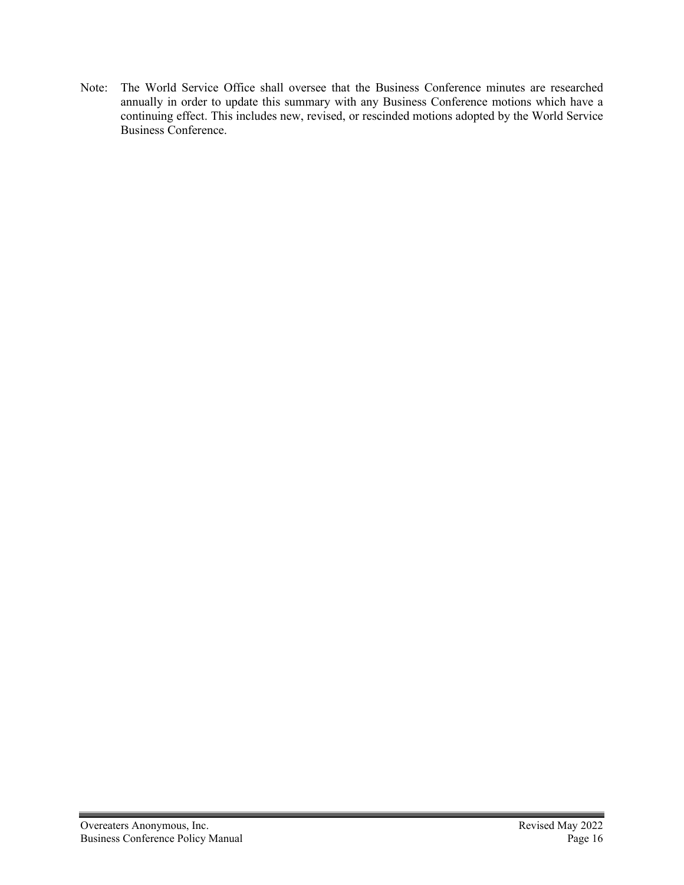Note: The World Service Office shall oversee that the Business Conference minutes are researched annually in order to update this summary with any Business Conference motions which have a continuing effect. This includes new, revised, or rescinded motions adopted by the World Service Business Conference.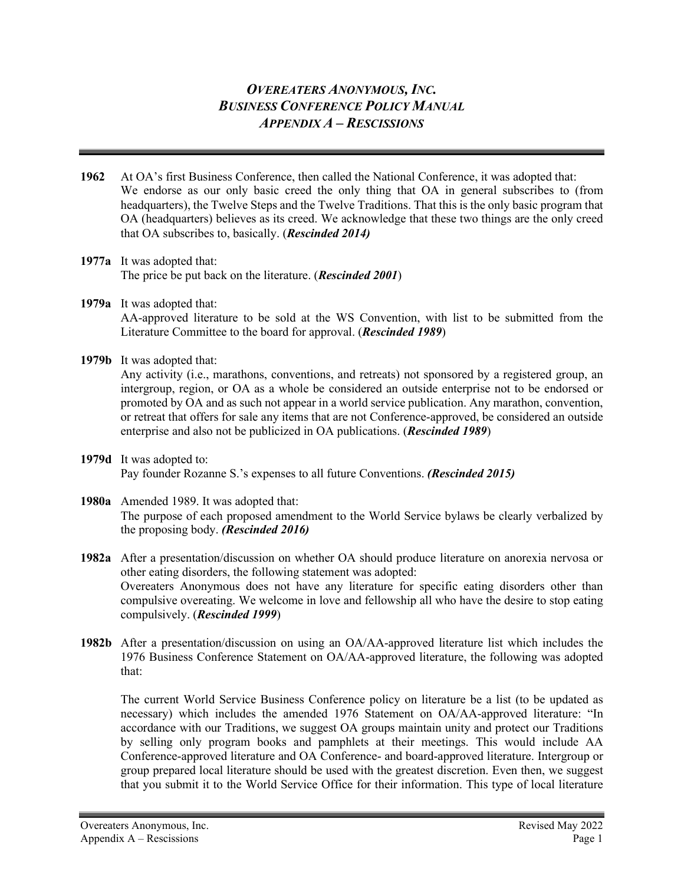# *OVEREATERS ANONYMOUS, INC. BUSINESS CONFERENCE POLICY MANUAL APPENDIX A – RESCISSIONS*

- **1962** At OA's first Business Conference, then called the National Conference, it was adopted that: We endorse as our only basic creed the only thing that OA in general subscribes to (from headquarters), the Twelve Steps and the Twelve Traditions. That this is the only basic program that OA (headquarters) believes as its creed. We acknowledge that these two things are the only creed that OA subscribes to, basically. (*Rescinded 2014)*
- **1977a** It was adopted that: The price be put back on the literature. (*Rescinded 2001*)
- **1979a** It was adopted that: AA-approved literature to be sold at the WS Convention, with list to be submitted from the Literature Committee to the board for approval. (*Rescinded 1989*)
- **1979b** It was adopted that:

Any activity (i.e., marathons, conventions, and retreats) not sponsored by a registered group, an intergroup, region, or OA as a whole be considered an outside enterprise not to be endorsed or promoted by OA and as such not appear in a world service publication. Any marathon, convention, or retreat that offers for sale any items that are not Conference-approved, be considered an outside enterprise and also not be publicized in OA publications. (*Rescinded 1989*)

**1979d** It was adopted to: Pay founder Rozanne S.'s expenses to all future Conventions. *(Rescinded 2015)*

## **1980a** Amended 1989. It was adopted that: The purpose of each proposed amendment to the World Service bylaws be clearly verbalized by the proposing body. *(Rescinded 2016)*

**1982a** After a presentation/discussion on whether OA should produce literature on anorexia nervosa or other eating disorders, the following statement was adopted: Overeaters Anonymous does not have any literature for specific eating disorders other than compulsive overeating. We welcome in love and fellowship all who have the desire to stop eating compulsively. (*Rescinded 1999*)

**1982b** After a presentation/discussion on using an OA/AA-approved literature list which includes the 1976 Business Conference Statement on OA/AA-approved literature, the following was adopted that:

The current World Service Business Conference policy on literature be a list (to be updated as necessary) which includes the amended 1976 Statement on OA/AA-approved literature: "In accordance with our Traditions, we suggest OA groups maintain unity and protect our Traditions by selling only program books and pamphlets at their meetings. This would include AA Conference-approved literature and OA Conference- and board-approved literature. Intergroup or group prepared local literature should be used with the greatest discretion. Even then, we suggest that you submit it to the World Service Office for their information. This type of local literature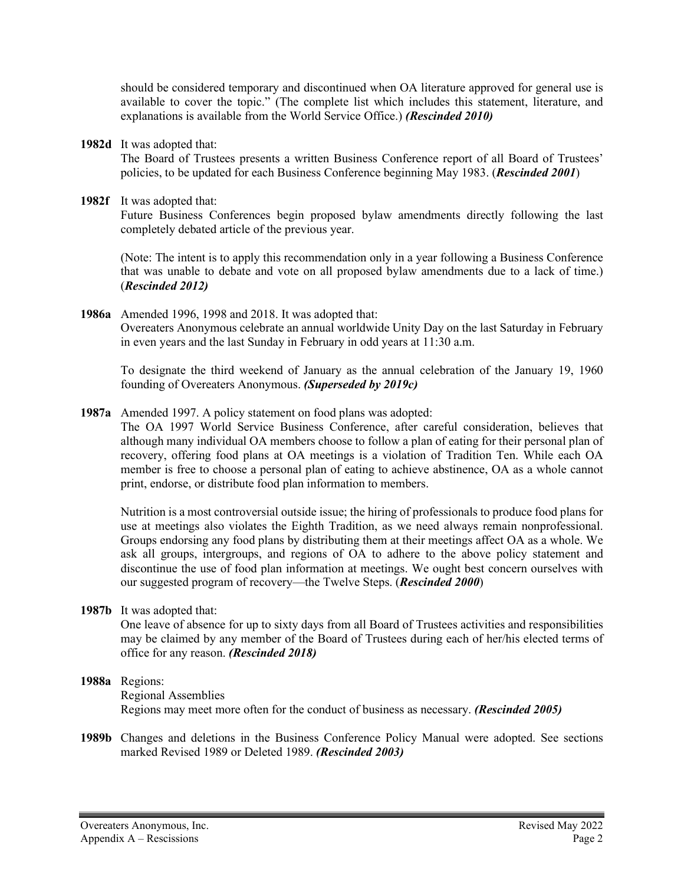should be considered temporary and discontinued when OA literature approved for general use is available to cover the topic." (The complete list which includes this statement, literature, and explanations is available from the World Service Office.) *(Rescinded 2010)*

**1982d** It was adopted that:

The Board of Trustees presents a written Business Conference report of all Board of Trustees' policies, to be updated for each Business Conference beginning May 1983. (*Rescinded 2001*)

**1982f** It was adopted that:

Future Business Conferences begin proposed bylaw amendments directly following the last completely debated article of the previous year.

(Note: The intent is to apply this recommendation only in a year following a Business Conference that was unable to debate and vote on all proposed bylaw amendments due to a lack of time.) (*Rescinded 2012)*

**1986a** Amended 1996, 1998 and 2018. It was adopted that: Overeaters Anonymous celebrate an annual worldwide Unity Day on the last Saturday in February in even years and the last Sunday in February in odd years at 11:30 a.m.

To designate the third weekend of January as the annual celebration of the January 19, 1960 founding of Overeaters Anonymous. *(Superseded by 2019c)*

**1987a** Amended 1997. A policy statement on food plans was adopted:

The OA 1997 World Service Business Conference, after careful consideration, believes that although many individual OA members choose to follow a plan of eating for their personal plan of recovery, offering food plans at OA meetings is a violation of Tradition Ten. While each OA member is free to choose a personal plan of eating to achieve abstinence, OA as a whole cannot print, endorse, or distribute food plan information to members.

Nutrition is a most controversial outside issue; the hiring of professionals to produce food plans for use at meetings also violates the Eighth Tradition, as we need always remain nonprofessional. Groups endorsing any food plans by distributing them at their meetings affect OA as a whole. We ask all groups, intergroups, and regions of OA to adhere to the above policy statement and discontinue the use of food plan information at meetings. We ought best concern ourselves with our suggested program of recovery—the Twelve Steps. (*Rescinded 2000*)

**1987b** It was adopted that:

One leave of absence for up to sixty days from all Board of Trustees activities and responsibilities may be claimed by any member of the Board of Trustees during each of her/his elected terms of office for any reason. *(Rescinded 2018)*

# **1988a** Regions:

Regional Assemblies Regions may meet more often for the conduct of business as necessary. *(Rescinded 2005)*

**1989b** Changes and deletions in the Business Conference Policy Manual were adopted. See sections marked Revised 1989 or Deleted 1989. *(Rescinded 2003)*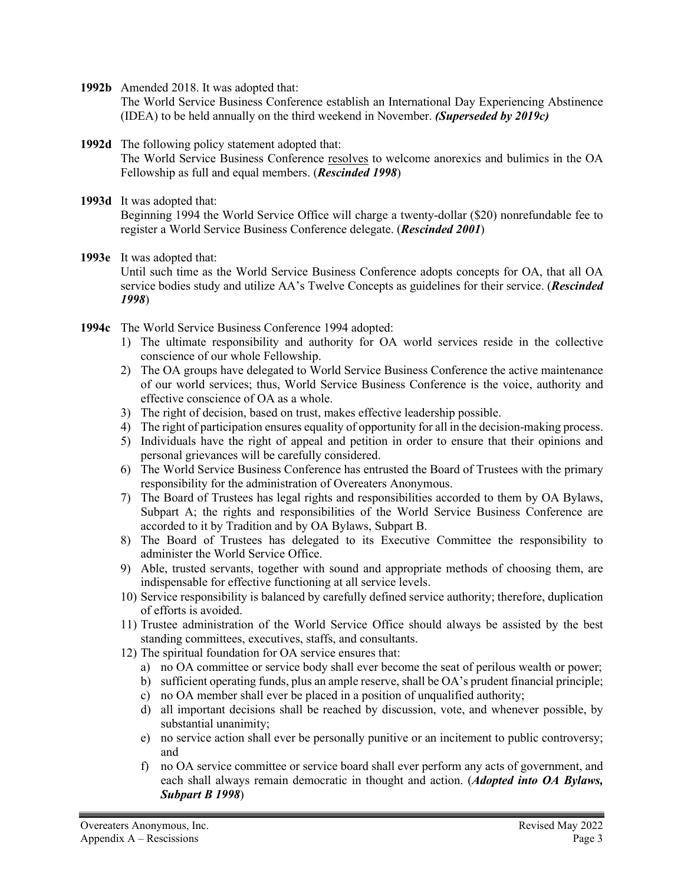**1992b** Amended 2018. It was adopted that:

The World Service Business Conference establish an International Day Experiencing Abstinence (IDEA) to be held annually on the third weekend in November. *(Superseded by 2019c)*

## **1992d** The following policy statement adopted that:

The World Service Business Conference resolves to welcome anorexics and bulimics in the OA Fellowship as full and equal members. (*Rescinded 1998*)

- **1993d** It was adopted that: Beginning 1994 the World Service Office will charge a twenty-dollar (\$20) nonrefundable fee to register a World Service Business Conference delegate. (*Rescinded 2001*)
- **1993e** It was adopted that: Until such time as the World Service Business Conference adopts concepts for OA, that all OA service bodies study and utilize AA's Twelve Concepts as guidelines for their service. (*Rescinded 1998*)
- **1994c** The World Service Business Conference 1994 adopted:
	- 1) The ultimate responsibility and authority for OA world services reside in the collective conscience of our whole Fellowship.
	- 2) The OA groups have delegated to World Service Business Conference the active maintenance of our world services; thus, World Service Business Conference is the voice, authority and effective conscience of OA as a whole.
	- 3) The right of decision, based on trust, makes effective leadership possible.
	- 4) The right of participation ensures equality of opportunity for all in the decision-making process.
	- 5) Individuals have the right of appeal and petition in order to ensure that their opinions and personal grievances will be carefully considered.
	- 6) The World Service Business Conference has entrusted the Board of Trustees with the primary responsibility for the administration of Overeaters Anonymous.
	- 7) The Board of Trustees has legal rights and responsibilities accorded to them by OA Bylaws, Subpart A; the rights and responsibilities of the World Service Business Conference are accorded to it by Tradition and by OA Bylaws, Subpart B.
	- 8) The Board of Trustees has delegated to its Executive Committee the responsibility to administer the World Service Office.
	- 9) Able, trusted servants, together with sound and appropriate methods of choosing them, are indispensable for effective functioning at all service levels.
	- 10) Service responsibility is balanced by carefully defined service authority; therefore, duplication of efforts is avoided.
	- 11) Trustee administration of the World Service Office should always be assisted by the best standing committees, executives, staffs, and consultants.
	- 12) The spiritual foundation for OA service ensures that:
		- a) no OA committee or service body shall ever become the seat of perilous wealth or power;
		- b) sufficient operating funds, plus an ample reserve, shall be OA's prudent financial principle;
		- c) no OA member shall ever be placed in a position of unqualified authority;
		- d) all important decisions shall be reached by discussion, vote, and whenever possible, by substantial unanimity;
		- e) no service action shall ever be personally punitive or an incitement to public controversy; and
		- f) no OA service committee or service board shall ever perform any acts of government, and each shall always remain democratic in thought and action. (*Adopted into OA Bylaws, Subpart B 1998*)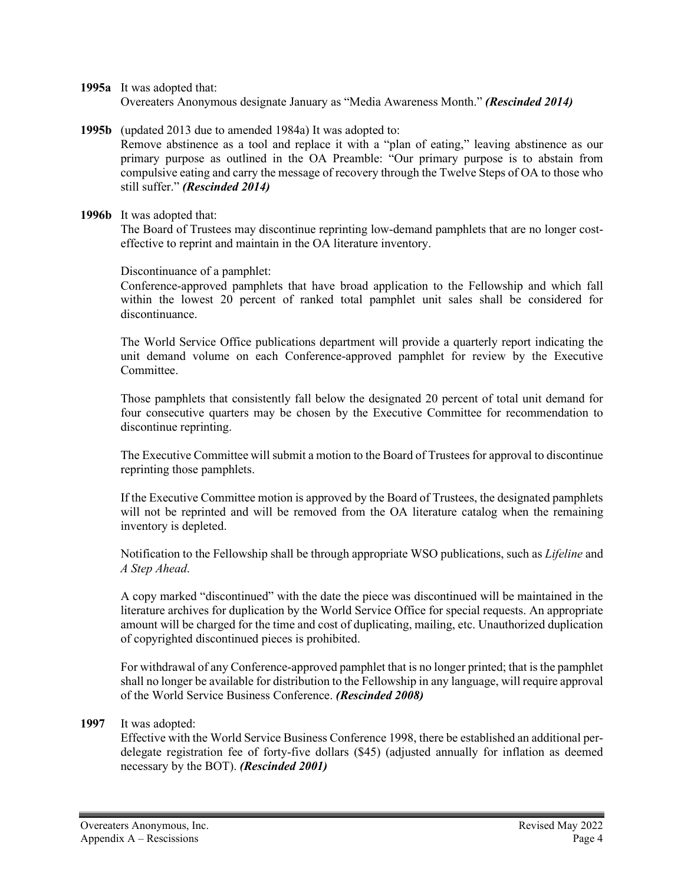**1995a** It was adopted that: Overeaters Anonymous designate January as "Media Awareness Month." *(Rescinded 2014)*

- **1995b** (updated 2013 due to amended 1984a) It was adopted to: Remove abstinence as a tool and replace it with a "plan of eating," leaving abstinence as our primary purpose as outlined in the OA Preamble: "Our primary purpose is to abstain from compulsive eating and carry the message of recovery through the Twelve Steps of OA to those who still suffer." *(Rescinded 2014)*
- **1996b** It was adopted that:

The Board of Trustees may discontinue reprinting low-demand pamphlets that are no longer costeffective to reprint and maintain in the OA literature inventory.

Discontinuance of a pamphlet:

Conference-approved pamphlets that have broad application to the Fellowship and which fall within the lowest 20 percent of ranked total pamphlet unit sales shall be considered for discontinuance.

The World Service Office publications department will provide a quarterly report indicating the unit demand volume on each Conference-approved pamphlet for review by the Executive Committee.

Those pamphlets that consistently fall below the designated 20 percent of total unit demand for four consecutive quarters may be chosen by the Executive Committee for recommendation to discontinue reprinting.

The Executive Committee will submit a motion to the Board of Trustees for approval to discontinue reprinting those pamphlets.

If the Executive Committee motion is approved by the Board of Trustees, the designated pamphlets will not be reprinted and will be removed from the OA literature catalog when the remaining inventory is depleted.

Notification to the Fellowship shall be through appropriate WSO publications, such as *Lifeline* and *A Step Ahead*.

A copy marked "discontinued" with the date the piece was discontinued will be maintained in the literature archives for duplication by the World Service Office for special requests. An appropriate amount will be charged for the time and cost of duplicating, mailing, etc. Unauthorized duplication of copyrighted discontinued pieces is prohibited.

For withdrawal of any Conference-approved pamphlet that is no longer printed; that is the pamphlet shall no longer be available for distribution to the Fellowship in any language, will require approval of the World Service Business Conference. *(Rescinded 2008)*

### **1997** It was adopted:

Effective with the World Service Business Conference 1998, there be established an additional perdelegate registration fee of forty-five dollars (\$45) (adjusted annually for inflation as deemed necessary by the BOT). *(Rescinded 2001)*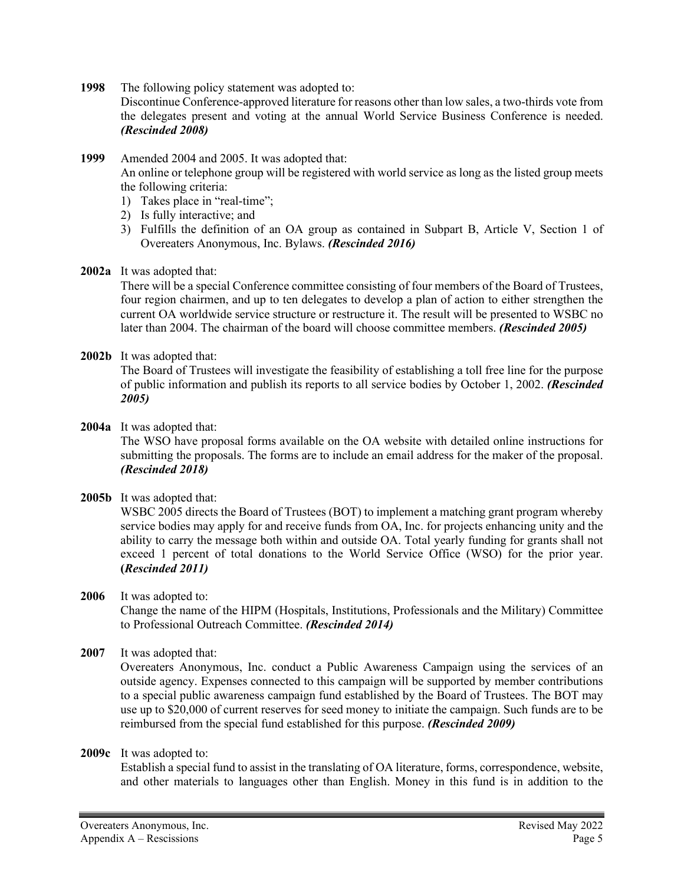**1998** The following policy statement was adopted to:

Discontinue Conference-approved literature for reasons other than low sales, a two-thirds vote from the delegates present and voting at the annual World Service Business Conference is needed. *(Rescinded 2008)*

**1999** Amended 2004 and 2005. It was adopted that:

An online or telephone group will be registered with world service as long as the listed group meets the following criteria:

- 1) Takes place in "real-time";
- 2) Is fully interactive; and
- 3) Fulfills the definition of an OA group as contained in Subpart B, Article V, Section 1 of Overeaters Anonymous, Inc. Bylaws. *(Rescinded 2016)*
- **2002a** It was adopted that:

There will be a special Conference committee consisting of four members of the Board of Trustees, four region chairmen, and up to ten delegates to develop a plan of action to either strengthen the current OA worldwide service structure or restructure it. The result will be presented to WSBC no later than 2004. The chairman of the board will choose committee members. *(Rescinded 2005)*

**2002b** It was adopted that:

The Board of Trustees will investigate the feasibility of establishing a toll free line for the purpose of public information and publish its reports to all service bodies by October 1, 2002. *(Rescinded 2005)*

### **2004a** It was adopted that:

The WSO have proposal forms available on the OA website with detailed online instructions for submitting the proposals. The forms are to include an email address for the maker of the proposal. *(Rescinded 2018)*

**2005b** It was adopted that:

WSBC 2005 directs the Board of Trustees (BOT) to implement a matching grant program whereby service bodies may apply for and receive funds from OA, Inc. for projects enhancing unity and the ability to carry the message both within and outside OA. Total yearly funding for grants shall not exceed 1 percent of total donations to the World Service Office (WSO) for the prior year. **(***Rescinded 2011)*

- **2006** It was adopted to: Change the name of the HIPM (Hospitals, Institutions, Professionals and the Military) Committee to Professional Outreach Committee. *(Rescinded 2014)*
- **2007** It was adopted that:

Overeaters Anonymous, Inc. conduct a Public Awareness Campaign using the services of an outside agency. Expenses connected to this campaign will be supported by member contributions to a special public awareness campaign fund established by the Board of Trustees. The BOT may use up to \$20,000 of current reserves for seed money to initiate the campaign. Such funds are to be reimbursed from the special fund established for this purpose. *(Rescinded 2009)*

**2009c** It was adopted to:

Establish a special fund to assist in the translating of OA literature, forms, correspondence, website, and other materials to languages other than English. Money in this fund is in addition to the